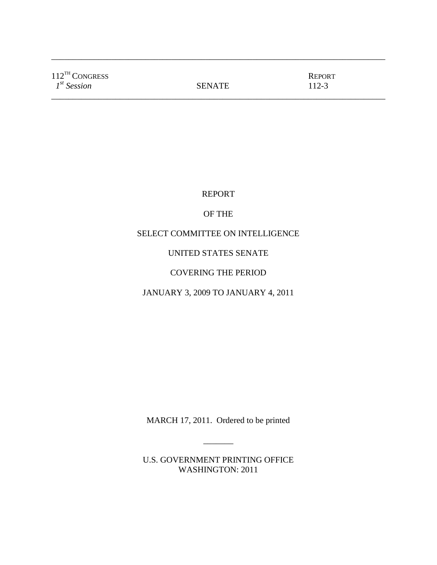| $112^{TH}$ CONGRESS<br>$I^{st}$ Session | <b>SENATE</b> | <b>REPORT</b><br>112-3 |  |
|-----------------------------------------|---------------|------------------------|--|
|-----------------------------------------|---------------|------------------------|--|

\_\_\_\_\_\_\_\_\_\_\_\_\_\_\_\_\_\_\_\_\_\_\_\_\_\_\_\_\_\_\_\_\_\_\_\_\_\_\_\_\_\_\_\_\_\_\_\_\_\_\_\_\_\_\_\_\_\_\_\_\_\_\_\_\_\_\_\_\_\_\_\_\_\_\_\_\_\_

REPORT

# OF THE

# SELECT COMMITTEE ON INTELLIGENCE

# UNITED STATES SENATE

# COVERING THE PERIOD

# JANUARY 3, 2009 TO JANUARY 4, 2011

MARCH 17, 2011. Ordered to be printed

\_\_\_\_\_\_\_

U.S. GOVERNMENT PRINTING OFFICE WASHINGTON: 2011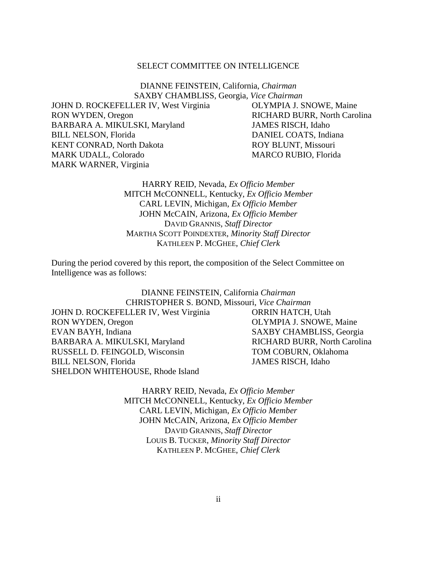## SELECT COMMITTEE ON INTELLIGENCE

DIANNE FEINSTEIN, California, *Chairman* SAXBY CHAMBLISS, Georgia, *Vice Chairman*

JOHN D. ROCKEFELLER IV, West Virginia OLYMPIA J. SNOWE, Maine RON WYDEN, Oregon RICHARD BURR, North Carolina BARBARA A. MIKULSKI, Maryland JAMES RISCH, Idaho BILL NELSON, Florida DANIEL COATS, Indiana KENT CONRAD, North Dakota **ROY BLUNT, Missouri** MARK UDALL, Colorado MARCO RUBIO, Florida MARK WARNER, Virginia

# HARRY REID, Nevada, *Ex Officio Member* MITCH McCONNELL, Kentucky, *Ex Officio Member* CARL LEVIN, Michigan, *Ex Officio Member* JOHN McCAIN, Arizona, *Ex Officio Member* DAVID GRANNIS, *Staff Director* MARTHA SCOTT POINDEXTER, *Minority Staff Director* KATHLEEN P. MCGHEE, *Chief Clerk*

During the period covered by this report, the composition of the Select Committee on Intelligence was as follows:

> DIANNE FEINSTEIN, California *Chairman* CHRISTOPHER S. BOND, Missouri, *Vice Chairman*

JOHN D. ROCKEFELLER IV, West Virginia ORRIN HATCH, Utah RON WYDEN, Oregon **OLYMPIA J. SNOWE, Maine** EVAN BAYH, Indiana SAXBY CHAMBLISS, Georgia BARBARA A. MIKULSKI, Maryland RICHARD BURR, North Carolina RUSSELL D. FEINGOLD, Wisconsin TOM COBURN, Oklahoma BILL NELSON, Florida JAMES RISCH, Idaho SHELDON WHITEHOUSE, Rhode Island

HARRY REID, Nevada, *Ex Officio Member* MITCH McCONNELL, Kentucky, *Ex Officio Member* CARL LEVIN, Michigan, *Ex Officio Member* JOHN McCAIN, Arizona, *Ex Officio Member* DAVID GRANNIS, *Staff Director* LOUIS B. TUCKER, *Minority Staff Director* KATHLEEN P. MCGHEE, *Chief Clerk*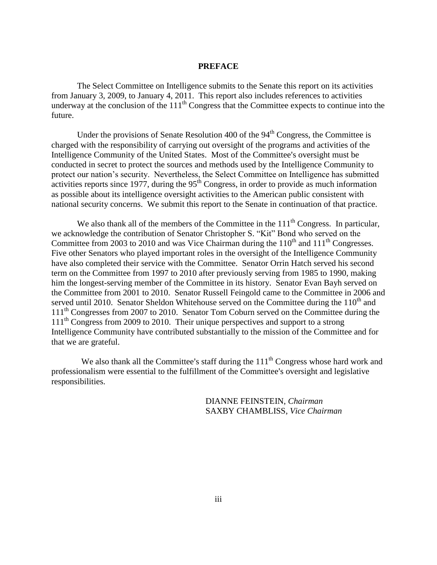## **PREFACE**

The Select Committee on Intelligence submits to the Senate this report on its activities from January 3, 2009, to January 4, 2011. This report also includes references to activities underway at the conclusion of the  $111<sup>th</sup>$  Congress that the Committee expects to continue into the future.

Under the provisions of Senate Resolution  $400$  of the  $94<sup>th</sup>$  Congress, the Committee is charged with the responsibility of carrying out oversight of the programs and activities of the Intelligence Community of the United States. Most of the Committee's oversight must be conducted in secret to protect the sources and methods used by the Intelligence Community to protect our nation's security. Nevertheless, the Select Committee on Intelligence has submitted activities reports since 1977, during the  $95<sup>th</sup>$  Congress, in order to provide as much information as possible about its intelligence oversight activities to the American public consistent with national security concerns. We submit this report to the Senate in continuation of that practice.

We also thank all of the members of the Committee in the  $111<sup>th</sup>$  Congress. In particular, we acknowledge the contribution of Senator Christopher S. "Kit" Bond who served on the Committee from 2003 to 2010 and was Vice Chairman during the  $110^{th}$  and  $111^{th}$  Congresses. Five other Senators who played important roles in the oversight of the Intelligence Community have also completed their service with the Committee. Senator Orrin Hatch served his second term on the Committee from 1997 to 2010 after previously serving from 1985 to 1990, making him the longest-serving member of the Committee in its history. Senator Evan Bayh served on the Committee from 2001 to 2010. Senator Russell Feingold came to the Committee in 2006 and served until 2010. Senator Sheldon Whitehouse served on the Committee during the  $110<sup>th</sup>$  and 111<sup>th</sup> Congresses from 2007 to 2010. Senator Tom Coburn served on the Committee during the 111<sup>th</sup> Congress from 2009 to 2010. Their unique perspectives and support to a strong Intelligence Community have contributed substantially to the mission of the Committee and for that we are grateful.

We also thank all the Committee's staff during the  $111<sup>th</sup>$  Congress whose hard work and professionalism were essential to the fulfillment of the Committee's oversight and legislative responsibilities.

> DIANNE FEINSTEIN, *Chairman* SAXBY CHAMBLISS, *Vice Chairman*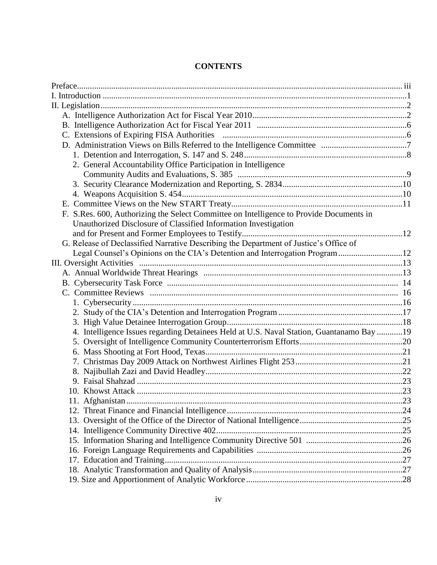| 2. General Accountability Office Participation in Intelligence                           |  |
|------------------------------------------------------------------------------------------|--|
|                                                                                          |  |
|                                                                                          |  |
|                                                                                          |  |
|                                                                                          |  |
| F. S.Res. 600, Authorizing the Select Committee on Intelligence to Provide Documents in  |  |
| Unauthorized Disclosure of Classified Information Investigation                          |  |
|                                                                                          |  |
| G. Release of Declassified Narrative Describing the Department of Justice's Office of    |  |
| Legal Counsel's Opinions on the CIA's Detention and Interrogation Program12              |  |
|                                                                                          |  |
|                                                                                          |  |
|                                                                                          |  |
|                                                                                          |  |
|                                                                                          |  |
|                                                                                          |  |
|                                                                                          |  |
| 4. Intelligence Issues regarding Detainees Held at U.S. Naval Station, Guantanamo Bay 19 |  |
|                                                                                          |  |
|                                                                                          |  |
|                                                                                          |  |
|                                                                                          |  |
|                                                                                          |  |
|                                                                                          |  |
|                                                                                          |  |
|                                                                                          |  |
|                                                                                          |  |
|                                                                                          |  |
|                                                                                          |  |
|                                                                                          |  |
|                                                                                          |  |
|                                                                                          |  |
|                                                                                          |  |
|                                                                                          |  |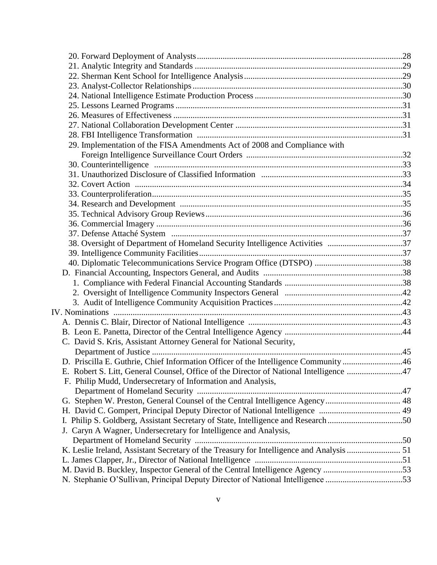| 29. Implementation of the FISA Amendments Act of 2008 and Compliance with                |  |
|------------------------------------------------------------------------------------------|--|
|                                                                                          |  |
|                                                                                          |  |
|                                                                                          |  |
|                                                                                          |  |
|                                                                                          |  |
|                                                                                          |  |
|                                                                                          |  |
|                                                                                          |  |
|                                                                                          |  |
| 38. Oversight of Department of Homeland Security Intelligence Activities 37              |  |
|                                                                                          |  |
|                                                                                          |  |
|                                                                                          |  |
|                                                                                          |  |
|                                                                                          |  |
|                                                                                          |  |
|                                                                                          |  |
|                                                                                          |  |
|                                                                                          |  |
| C. David S. Kris, Assistant Attorney General for National Security,                      |  |
|                                                                                          |  |
| D. Priscilla E. Guthrie, Chief Information Officer of the Intelligence Community 46      |  |
| E. Robert S. Litt, General Counsel, Office of the Director of National Intelligence 47   |  |
| F. Philip Mudd, Undersecretary of Information and Analysis,                              |  |
|                                                                                          |  |
|                                                                                          |  |
|                                                                                          |  |
| I. Philip S. Goldberg, Assistant Secretary of State, Intelligence and Research50         |  |
| J. Caryn A Wagner, Undersecretary for Intelligence and Analysis,                         |  |
|                                                                                          |  |
| K. Leslie Ireland, Assistant Secretary of the Treasury for Intelligence and Analysis  51 |  |
|                                                                                          |  |
| M. David B. Buckley, Inspector General of the Central Intelligence Agency 53             |  |
| N. Stephanie O'Sullivan, Principal Deputy Director of National Intelligence 53           |  |
|                                                                                          |  |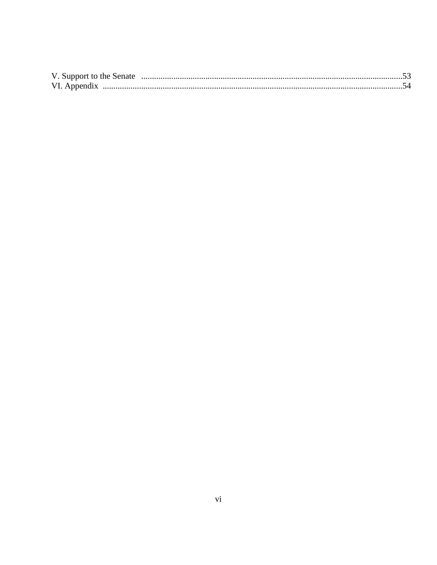| VI. Appendix |  |
|--------------|--|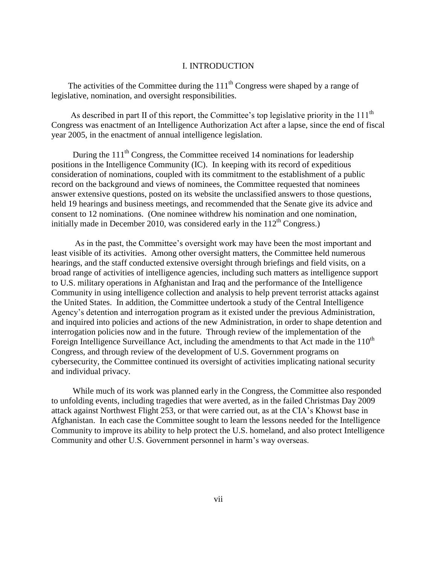## I. INTRODUCTION

The activities of the Committee during the 111<sup>th</sup> Congress were shaped by a range of legislative, nomination, and oversight responsibilities.

As described in part II of this report, the Committee's top legislative priority in the  $111<sup>th</sup>$ Congress was enactment of an Intelligence Authorization Act after a lapse, since the end of fiscal year 2005, in the enactment of annual intelligence legislation.

During the  $111<sup>th</sup>$  Congress, the Committee received 14 nominations for leadership positions in the Intelligence Community (IC). In keeping with its record of expeditious consideration of nominations, coupled with its commitment to the establishment of a public record on the background and views of nominees, the Committee requested that nominees answer extensive questions, posted on its website the unclassified answers to those questions, held 19 hearings and business meetings, and recommended that the Senate give its advice and consent to 12 nominations. (One nominee withdrew his nomination and one nomination, initially made in December 2010, was considered early in the  $112<sup>th</sup>$  Congress.)

 As in the past, the Committee's oversight work may have been the most important and least visible of its activities. Among other oversight matters, the Committee held numerous hearings, and the staff conducted extensive oversight through briefings and field visits, on a broad range of activities of intelligence agencies, including such matters as intelligence support to U.S. military operations in Afghanistan and Iraq and the performance of the Intelligence Community in using intelligence collection and analysis to help prevent terrorist attacks against the United States. In addition, the Committee undertook a study of the Central Intelligence Agency's detention and interrogation program as it existed under the previous Administration, and inquired into policies and actions of the new Administration, in order to shape detention and interrogation policies now and in the future. Through review of the implementation of the Foreign Intelligence Surveillance Act, including the amendments to that Act made in the  $110<sup>th</sup>$ Congress, and through review of the development of U.S. Government programs on cybersecurity, the Committee continued its oversight of activities implicating national security and individual privacy.

 While much of its work was planned early in the Congress, the Committee also responded to unfolding events, including tragedies that were averted, as in the failed Christmas Day 2009 attack against Northwest Flight 253, or that were carried out, as at the CIA's Khowst base in Afghanistan. In each case the Committee sought to learn the lessons needed for the Intelligence Community to improve its ability to help protect the U.S. homeland, and also protect Intelligence Community and other U.S. Government personnel in harm's way overseas.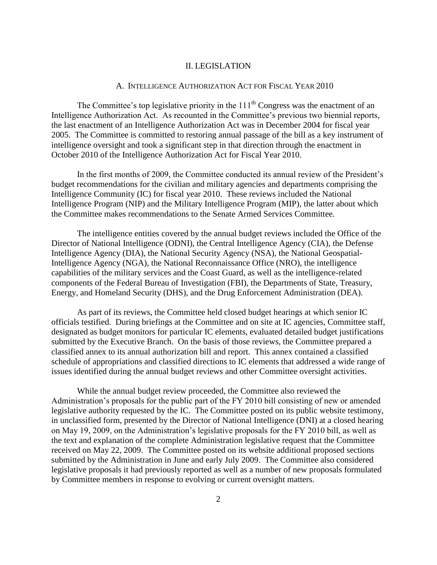## II. LEGISLATION

## A. INTELLIGENCE AUTHORIZATION ACT FOR FISCAL YEAR 2010

The Committee's top legislative priority in the  $111<sup>th</sup>$  Congress was the enactment of an Intelligence Authorization Act. As recounted in the Committee's previous two biennial reports, the last enactment of an Intelligence Authorization Act was in December 2004 for fiscal year 2005. The Committee is committed to restoring annual passage of the bill as a key instrument of intelligence oversight and took a significant step in that direction through the enactment in October 2010 of the Intelligence Authorization Act for Fiscal Year 2010.

In the first months of 2009, the Committee conducted its annual review of the President's budget recommendations for the civilian and military agencies and departments comprising the Intelligence Community (IC) for fiscal year 2010. These reviews included the National Intelligence Program (NIP) and the Military Intelligence Program (MIP), the latter about which the Committee makes recommendations to the Senate Armed Services Committee.

The intelligence entities covered by the annual budget reviews included the Office of the Director of National Intelligence (ODNI), the Central Intelligence Agency (CIA), the Defense Intelligence Agency (DIA), the National Security Agency (NSA), the National Geospatial-Intelligence Agency (NGA), the National Reconnaissance Office (NRO), the intelligence capabilities of the military services and the Coast Guard, as well as the intelligence-related components of the Federal Bureau of Investigation (FBI), the Departments of State, Treasury, Energy, and Homeland Security (DHS), and the Drug Enforcement Administration (DEA).

As part of its reviews, the Committee held closed budget hearings at which senior IC officials testified. During briefings at the Committee and on site at IC agencies, Committee staff, designated as budget monitors for particular IC elements, evaluated detailed budget justifications submitted by the Executive Branch. On the basis of those reviews, the Committee prepared a classified annex to its annual authorization bill and report. This annex contained a classified schedule of appropriations and classified directions to IC elements that addressed a wide range of issues identified during the annual budget reviews and other Committee oversight activities.

While the annual budget review proceeded, the Committee also reviewed the Administration's proposals for the public part of the FY 2010 bill consisting of new or amended legislative authority requested by the IC. The Committee posted on its public website testimony, in unclassified form, presented by the Director of National Intelligence (DNI) at a closed hearing on May 19, 2009, on the Administration's legislative proposals for the FY 2010 bill, as well as the text and explanation of the complete Administration legislative request that the Committee received on May 22, 2009. The Committee posted on its website additional proposed sections submitted by the Administration in June and early July 2009. The Committee also considered legislative proposals it had previously reported as well as a number of new proposals formulated by Committee members in response to evolving or current oversight matters.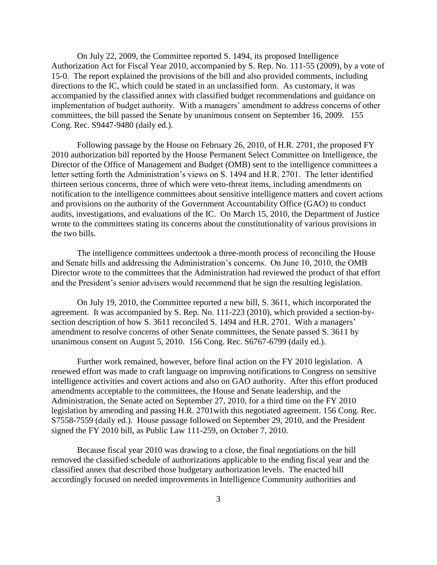On July 22, 2009, the Committee reported S. 1494, its proposed Intelligence Authorization Act for Fiscal Year 2010, accompanied by S. Rep. No. 111-55 (2009), by a vote of 15-0. The report explained the provisions of the bill and also provided comments, including directions to the IC, which could be stated in an unclassified form. As customary, it was accompanied by the classified annex with classified budget recommendations and guidance on implementation of budget authority. With a managers' amendment to address concerns of other committees, the bill passed the Senate by unanimous consent on September 16, 2009. 155 Cong. Rec. S9447-9480 (daily ed.).

Following passage by the House on February 26, 2010, of H.R. 2701, the proposed FY 2010 authorization bill reported by the House Permanent Select Committee on Intelligence, the Director of the Office of Management and Budget (OMB) sent to the intelligence committees a letter setting forth the Administration's views on S. 1494 and H.R. 2701. The letter identified thirteen serious concerns, three of which were veto-threat items, including amendments on notification to the intelligence committees about sensitive intelligence matters and covert actions and provisions on the authority of the Government Accountability Office (GAO) to conduct audits, investigations, and evaluations of the IC. On March 15, 2010, the Department of Justice wrote to the committees stating its concerns about the constitutionality of various provisions in the two bills.

The intelligence committees undertook a three-month process of reconciling the House and Senate bills and addressing the Administration's concerns. On June 10, 2010, the OMB Director wrote to the committees that the Administration had reviewed the product of that effort and the President's senior advisers would recommend that he sign the resulting legislation.

On July 19, 2010, the Committee reported a new bill, S. 3611, which incorporated the agreement. It was accompanied by S. Rep. No. 111-223 (2010), which provided a section-bysection description of how S. 3611 reconciled S. 1494 and H.R. 2701. With a managers' amendment to resolve concerns of other Senate committees, the Senate passed S. 3611 by unanimous consent on August 5, 2010. 156 Cong. Rec. S6767-6799 (daily ed.).

Further work remained, however, before final action on the FY 2010 legislation. A renewed effort was made to craft language on improving notifications to Congress on sensitive intelligence activities and covert actions and also on GAO authority. After this effort produced amendments acceptable to the committees, the House and Senate leadership, and the Administration, the Senate acted on September 27, 2010, for a third time on the FY 2010 legislation by amending and passing H.R. 2701with this negotiated agreement. 156 Cong. Rec. S7558-7559 (daily ed.). House passage followed on September 29, 2010, and the President signed the FY 2010 bill, as Public Law 111-259, on October 7, 2010.

Because fiscal year 2010 was drawing to a close, the final negotiations on the bill removed the classified schedule of authorizations applicable to the ending fiscal year and the classified annex that described those budgetary authorization levels. The enacted bill accordingly focused on needed improvements in Intelligence Community authorities and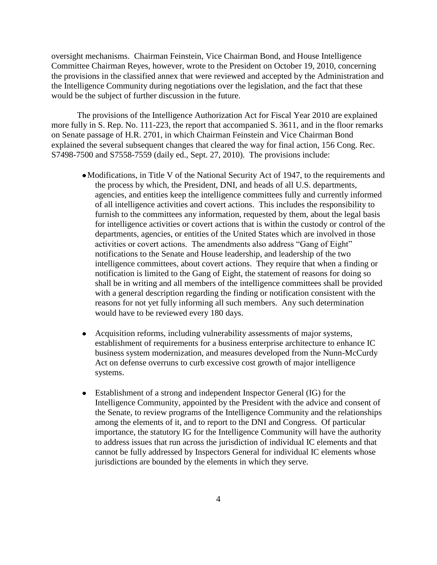oversight mechanisms. Chairman Feinstein, Vice Chairman Bond, and House Intelligence Committee Chairman Reyes, however, wrote to the President on October 19, 2010, concerning the provisions in the classified annex that were reviewed and accepted by the Administration and the Intelligence Community during negotiations over the legislation, and the fact that these would be the subject of further discussion in the future.

The provisions of the Intelligence Authorization Act for Fiscal Year 2010 are explained more fully in S. Rep. No. 111-223, the report that accompanied S. 3611, and in the floor remarks on Senate passage of H.R. 2701, in which Chairman Feinstein and Vice Chairman Bond explained the several subsequent changes that cleared the way for final action, 156 Cong. Rec. S7498-7500 and S7558-7559 (daily ed., Sept. 27, 2010). The provisions include:

- Modifications, in Title V of the National Security Act of 1947, to the requirements and the process by which, the President, DNI, and heads of all U.S. departments, agencies, and entities keep the intelligence committees fully and currently informed of all intelligence activities and covert actions. This includes the responsibility to furnish to the committees any information, requested by them, about the legal basis for intelligence activities or covert actions that is within the custody or control of the departments, agencies, or entities of the United States which are involved in those activities or covert actions. The amendments also address "Gang of Eight" notifications to the Senate and House leadership, and leadership of the two intelligence committees, about covert actions. They require that when a finding or notification is limited to the Gang of Eight, the statement of reasons for doing so shall be in writing and all members of the intelligence committees shall be provided with a general description regarding the finding or notification consistent with the reasons for not yet fully informing all such members. Any such determination would have to be reviewed every 180 days.
- Acquisition reforms, including vulnerability assessments of major systems, establishment of requirements for a business enterprise architecture to enhance IC business system modernization, and measures developed from the Nunn-McCurdy Act on defense overruns to curb excessive cost growth of major intelligence systems.
- Establishment of a strong and independent Inspector General (IG) for the Intelligence Community, appointed by the President with the advice and consent of the Senate, to review programs of the Intelligence Community and the relationships among the elements of it, and to report to the DNI and Congress. Of particular importance, the statutory IG for the Intelligence Community will have the authority to address issues that run across the jurisdiction of individual IC elements and that cannot be fully addressed by Inspectors General for individual IC elements whose jurisdictions are bounded by the elements in which they serve.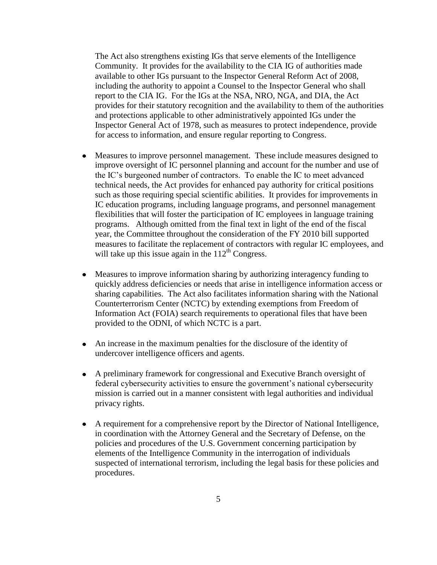The Act also strengthens existing IGs that serve elements of the Intelligence Community. It provides for the availability to the CIA IG of authorities made available to other IGs pursuant to the Inspector General Reform Act of 2008, including the authority to appoint a Counsel to the Inspector General who shall report to the CIA IG. For the IGs at the NSA, NRO, NGA, and DIA, the Act provides for their statutory recognition and the availability to them of the authorities and protections applicable to other administratively appointed IGs under the Inspector General Act of 1978, such as measures to protect independence, provide for access to information, and ensure regular reporting to Congress.

- Measures to improve personnel management. These include measures designed to improve oversight of IC personnel planning and account for the number and use of the IC's burgeoned number of contractors. To enable the IC to meet advanced technical needs, the Act provides for enhanced pay authority for critical positions such as those requiring special scientific abilities. It provides for improvements in IC education programs, including language programs, and personnel management flexibilities that will foster the participation of IC employees in language training programs. Although omitted from the final text in light of the end of the fiscal year, the Committee throughout the consideration of the FY 2010 bill supported measures to facilitate the replacement of contractors with regular IC employees, and will take up this issue again in the  $112<sup>th</sup>$  Congress.
- Measures to improve information sharing by authorizing interagency funding to quickly address deficiencies or needs that arise in intelligence information access or sharing capabilities. The Act also facilitates information sharing with the National Counterterrorism Center (NCTC) by extending exemptions from Freedom of Information Act (FOIA) search requirements to operational files that have been provided to the ODNI, of which NCTC is a part.
- An increase in the maximum penalties for the disclosure of the identity of undercover intelligence officers and agents.
- A preliminary framework for congressional and Executive Branch oversight of federal cybersecurity activities to ensure the government's national cybersecurity mission is carried out in a manner consistent with legal authorities and individual privacy rights.
- A requirement for a comprehensive report by the Director of National Intelligence, in coordination with the Attorney General and the Secretary of Defense, on the policies and procedures of the U.S. Government concerning participation by elements of the Intelligence Community in the interrogation of individuals suspected of international terrorism, including the legal basis for these policies and procedures.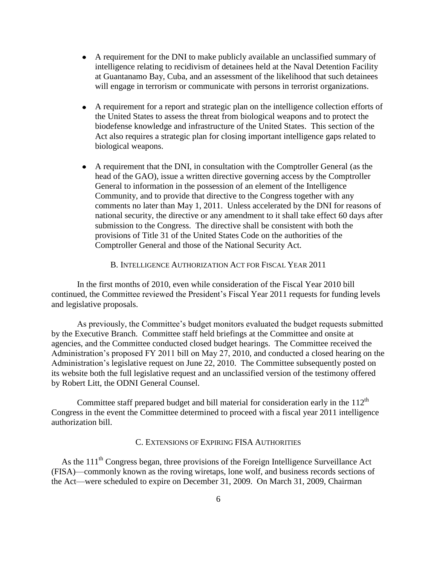- A requirement for the DNI to make publicly available an unclassified summary of intelligence relating to recidivism of detainees held at the Naval Detention Facility at Guantanamo Bay, Cuba, and an assessment of the likelihood that such detainees will engage in terrorism or communicate with persons in terrorist organizations.
- A requirement for a report and strategic plan on the intelligence collection efforts of the United States to assess the threat from biological weapons and to protect the biodefense knowledge and infrastructure of the United States. This section of the Act also requires a strategic plan for closing important intelligence gaps related to biological weapons.
- A requirement that the DNI, in consultation with the Comptroller General (as the head of the GAO), issue a written directive governing access by the Comptroller General to information in the possession of an element of the Intelligence Community, and to provide that directive to the Congress together with any comments no later than May 1, 2011. Unless accelerated by the DNI for reasons of national security, the directive or any amendment to it shall take effect 60 days after submission to the Congress. The directive shall be consistent with both the provisions of Title 31 of the United States Code on the authorities of the Comptroller General and those of the National Security Act.

B. INTELLIGENCE AUTHORIZATION ACT FOR FISCAL YEAR 2011

In the first months of 2010, even while consideration of the Fiscal Year 2010 bill continued, the Committee reviewed the President's Fiscal Year 2011 requests for funding levels and legislative proposals.

As previously, the Committee's budget monitors evaluated the budget requests submitted by the Executive Branch. Committee staff held briefings at the Committee and onsite at agencies, and the Committee conducted closed budget hearings. The Committee received the Administration's proposed FY 2011 bill on May 27, 2010, and conducted a closed hearing on the Administration's legislative request on June 22, 2010. The Committee subsequently posted on its website both the full legislative request and an unclassified version of the testimony offered by Robert Litt, the ODNI General Counsel.

Committee staff prepared budget and bill material for consideration early in the  $112<sup>th</sup>$ Congress in the event the Committee determined to proceed with a fiscal year 2011 intelligence authorization bill.

# C. EXTENSIONS OF EXPIRING FISA AUTHORITIES

As the  $111<sup>th</sup>$  Congress began, three provisions of the Foreign Intelligence Surveillance Act (FISA)—commonly known as the roving wiretaps, lone wolf, and business records sections of the Act—were scheduled to expire on December 31, 2009. On March 31, 2009, Chairman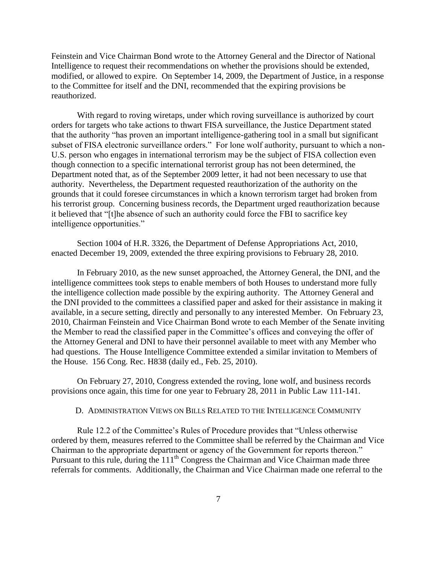Feinstein and Vice Chairman Bond wrote to the Attorney General and the Director of National Intelligence to request their recommendations on whether the provisions should be extended, modified, or allowed to expire. On September 14, 2009, the Department of Justice, in a response to the Committee for itself and the DNI, recommended that the expiring provisions be reauthorized.

With regard to roving wiretaps, under which roving surveillance is authorized by court orders for targets who take actions to thwart FISA surveillance, the Justice Department stated that the authority "has proven an important intelligence-gathering tool in a small but significant subset of FISA electronic surveillance orders." For lone wolf authority, pursuant to which a non-U.S. person who engages in international terrorism may be the subject of FISA collection even though connection to a specific international terrorist group has not been determined, the Department noted that, as of the September 2009 letter, it had not been necessary to use that authority. Nevertheless, the Department requested reauthorization of the authority on the grounds that it could foresee circumstances in which a known terrorism target had broken from his terrorist group. Concerning business records, the Department urged reauthorization because it believed that "[t]he absence of such an authority could force the FBI to sacrifice key intelligence opportunities."

Section 1004 of H.R. 3326, the Department of Defense Appropriations Act, 2010, enacted December 19, 2009, extended the three expiring provisions to February 28, 2010.

In February 2010, as the new sunset approached, the Attorney General, the DNI, and the intelligence committees took steps to enable members of both Houses to understand more fully the intelligence collection made possible by the expiring authority. The Attorney General and the DNI provided to the committees a classified paper and asked for their assistance in making it available, in a secure setting, directly and personally to any interested Member. On February 23, 2010, Chairman Feinstein and Vice Chairman Bond wrote to each Member of the Senate inviting the Member to read the classified paper in the Committee's offices and conveying the offer of the Attorney General and DNI to have their personnel available to meet with any Member who had questions. The House Intelligence Committee extended a similar invitation to Members of the House. 156 Cong. Rec. H838 (daily ed., Feb. 25, 2010).

On February 27, 2010, Congress extended the roving, lone wolf, and business records provisions once again, this time for one year to February 28, 2011 in Public Law 111-141.

#### D. ADMINISTRATION VIEWS ON BILLS RELATED TO THE INTELLIGENCE COMMUNITY

Rule 12.2 of the Committee's Rules of Procedure provides that "Unless otherwise" ordered by them, measures referred to the Committee shall be referred by the Chairman and Vice Chairman to the appropriate department or agency of the Government for reports thereon." Pursuant to this rule, during the 111<sup>th</sup> Congress the Chairman and Vice Chairman made three referrals for comments. Additionally, the Chairman and Vice Chairman made one referral to the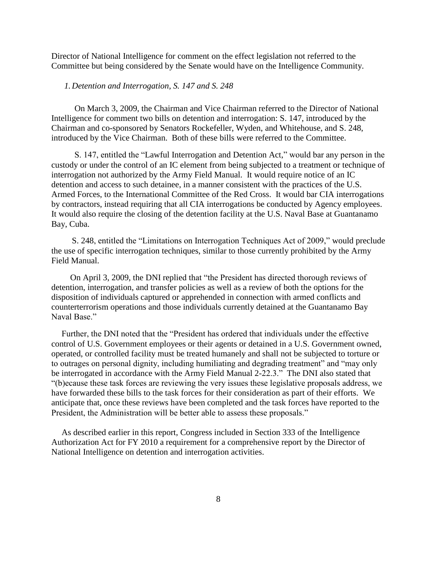Director of National Intelligence for comment on the effect legislation not referred to the Committee but being considered by the Senate would have on the Intelligence Community.

## *1. Detention and Interrogation, S. 147 and S. 248*

 On March 3, 2009, the Chairman and Vice Chairman referred to the Director of National Intelligence for comment two bills on detention and interrogation: S. 147, introduced by the Chairman and co-sponsored by Senators Rockefeller, Wyden, and Whitehouse, and S. 248, introduced by the Vice Chairman. Both of these bills were referred to the Committee.

S. 147, entitled the "Lawful Interrogation and Detention Act," would bar any person in the custody or under the control of an IC element from being subjected to a treatment or technique of interrogation not authorized by the Army Field Manual. It would require notice of an IC detention and access to such detainee, in a manner consistent with the practices of the U.S. Armed Forces, to the International Committee of the Red Cross. It would bar CIA interrogations by contractors, instead requiring that all CIA interrogations be conducted by Agency employees. It would also require the closing of the detention facility at the U.S. Naval Base at Guantanamo Bay, Cuba.

S. 248, entitled the "Limitations on Interrogation Techniques Act of 2009," would preclude the use of specific interrogation techniques, similar to those currently prohibited by the Army Field Manual.

On April 3, 2009, the DNI replied that "the President has directed thorough reviews of detention, interrogation, and transfer policies as well as a review of both the options for the disposition of individuals captured or apprehended in connection with armed conflicts and counterterrorism operations and those individuals currently detained at the Guantanamo Bay Naval Base."

Further, the DNI noted that the "President has ordered that individuals under the effective control of U.S. Government employees or their agents or detained in a U.S. Government owned, operated, or controlled facility must be treated humanely and shall not be subjected to torture or to outrages on personal dignity, including humiliating and degrading treatment" and "may only be interrogated in accordance with the Army Field Manual 2-22.3." The DNI also stated that ―(b)ecause these task forces are reviewing the very issues these legislative proposals address, we have forwarded these bills to the task forces for their consideration as part of their efforts. We anticipate that, once these reviews have been completed and the task forces have reported to the President, the Administration will be better able to assess these proposals."

As described earlier in this report, Congress included in Section 333 of the Intelligence Authorization Act for FY 2010 a requirement for a comprehensive report by the Director of National Intelligence on detention and interrogation activities.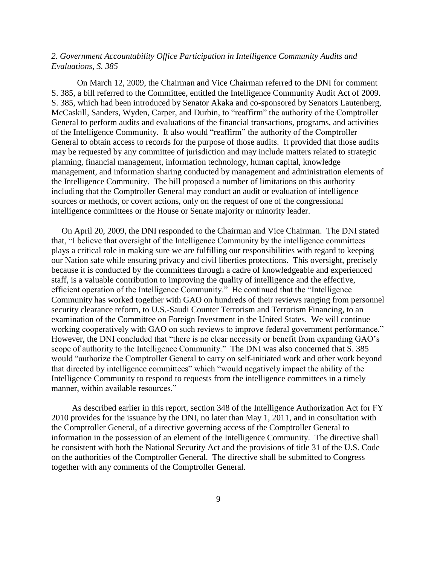# *2. Government Accountability Office Participation in Intelligence Community Audits and Evaluations, S. 385*

On March 12, 2009, the Chairman and Vice Chairman referred to the DNI for comment S. 385, a bill referred to the Committee, entitled the Intelligence Community Audit Act of 2009. S. 385, which had been introduced by Senator Akaka and co-sponsored by Senators Lautenberg, McCaskill, Sanders, Wyden, Carper, and Durbin, to "reaffirm" the authority of the Comptroller General to perform audits and evaluations of the financial transactions, programs, and activities of the Intelligence Community. It also would "reaffirm" the authority of the Comptroller General to obtain access to records for the purpose of those audits. It provided that those audits may be requested by any committee of jurisdiction and may include matters related to strategic planning, financial management, information technology, human capital, knowledge management, and information sharing conducted by management and administration elements of the Intelligence Community. The bill proposed a number of limitations on this authority including that the Comptroller General may conduct an audit or evaluation of intelligence sources or methods, or covert actions, only on the request of one of the congressional intelligence committees or the House or Senate majority or minority leader.

On April 20, 2009, the DNI responded to the Chairman and Vice Chairman. The DNI stated that, "I believe that oversight of the Intelligence Community by the intelligence committees plays a critical role in making sure we are fulfilling our responsibilities with regard to keeping our Nation safe while ensuring privacy and civil liberties protections. This oversight, precisely because it is conducted by the committees through a cadre of knowledgeable and experienced staff, is a valuable contribution to improving the quality of intelligence and the effective, efficient operation of the Intelligence Community." He continued that the "Intelligence Community has worked together with GAO on hundreds of their reviews ranging from personnel security clearance reform, to U.S.-Saudi Counter Terrorism and Terrorism Financing, to an examination of the Committee on Foreign Investment in the United States. We will continue working cooperatively with GAO on such reviews to improve federal government performance." However, the DNI concluded that "there is no clear necessity or benefit from expanding GAO's scope of authority to the Intelligence Community." The DNI was also concerned that S. 385 would "authorize the Comptroller General to carry on self-initiated work and other work beyond that directed by intelligence committees" which "would negatively impact the ability of the Intelligence Community to respond to requests from the intelligence committees in a timely manner, within available resources."

As described earlier in this report, section 348 of the Intelligence Authorization Act for FY 2010 provides for the issuance by the DNI, no later than May 1, 2011, and in consultation with the Comptroller General, of a directive governing access of the Comptroller General to information in the possession of an element of the Intelligence Community. The directive shall be consistent with both the National Security Act and the provisions of title 31 of the U.S. Code on the authorities of the Comptroller General. The directive shall be submitted to Congress together with any comments of the Comptroller General.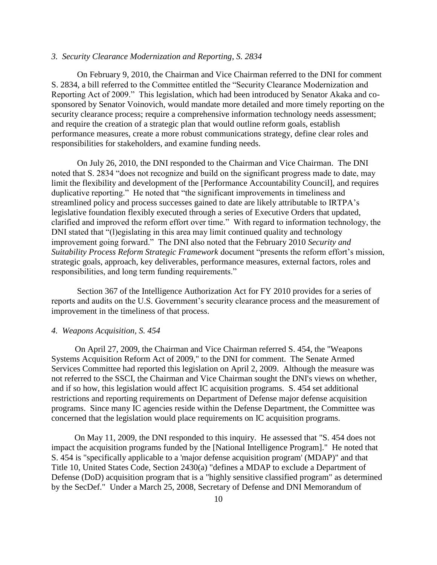## *3. Security Clearance Modernization and Reporting, S. 2834*

On February 9, 2010, the Chairman and Vice Chairman referred to the DNI for comment S. 2834, a bill referred to the Committee entitled the "Security Clearance Modernization and Reporting Act of 2009." This legislation, which had been introduced by Senator Akaka and cosponsored by Senator Voinovich, would mandate more detailed and more timely reporting on the security clearance process; require a comprehensive information technology needs assessment; and require the creation of a strategic plan that would outline reform goals, establish performance measures, create a more robust communications strategy, define clear roles and responsibilities for stakeholders, and examine funding needs.

On July 26, 2010, the DNI responded to the Chairman and Vice Chairman. The DNI noted that S. 2834 "does not recognize and build on the significant progress made to date, may limit the flexibility and development of the [Performance Accountability Council], and requires duplicative reporting." He noted that "the significant improvements in timeliness and streamlined policy and process successes gained to date are likely attributable to IRTPA's legislative foundation flexibly executed through a series of Executive Orders that updated, clarified and improved the reform effort over time." With regard to information technology, the DNI stated that "(l)egislating in this area may limit continued quality and technology improvement going forward." The DNI also noted that the February 2010 *Security and Suitability Process Reform Strategic Framework* document "presents the reform effort's mission, strategic goals, approach, key deliverables, performance measures, external factors, roles and responsibilities, and long term funding requirements."

Section 367 of the Intelligence Authorization Act for FY 2010 provides for a series of reports and audits on the U.S. Government's security clearance process and the measurement of improvement in the timeliness of that process.

#### *4. Weapons Acquisition, S. 454*

 On April 27, 2009, the Chairman and Vice Chairman referred S. 454, the "Weapons Systems Acquisition Reform Act of 2009," to the DNI for comment. The Senate Armed Services Committee had reported this legislation on April 2, 2009. Although the measure was not referred to the SSCI, the Chairman and Vice Chairman sought the DNI's views on whether, and if so how, this legislation would affect IC acquisition programs. S. 454 set additional restrictions and reporting requirements on Department of Defense major defense acquisition programs. Since many IC agencies reside within the Defense Department, the Committee was concerned that the legislation would place requirements on IC acquisition programs.

 On May 11, 2009, the DNI responded to this inquiry. He assessed that "S. 454 does not impact the acquisition programs funded by the [National Intelligence Program]." He noted that S. 454 is "specifically applicable to a 'major defense acquisition program' (MDAP)" and that Title 10, United States Code, Section 2430(a) "defines a MDAP to exclude a Department of Defense (DoD) acquisition program that is a "highly sensitive classified program" as determined by the SecDef." Under a March 25, 2008, Secretary of Defense and DNI Memorandum of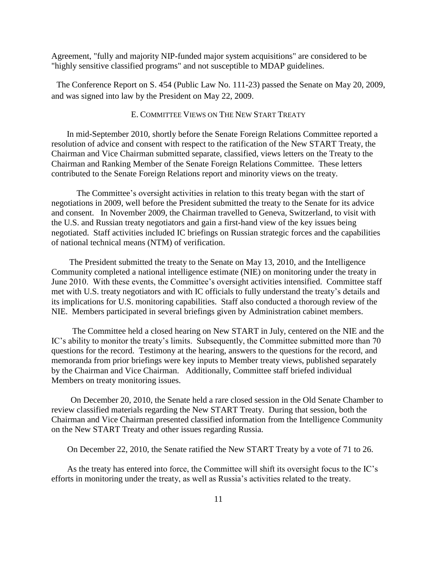Agreement, "fully and majority NIP-funded major system acquisitions" are considered to be "highly sensitive classified programs" and not susceptible to MDAP guidelines.

The Conference Report on S. 454 (Public Law No. 111-23) passed the Senate on May 20, 2009, and was signed into law by the President on May 22, 2009.

## E. COMMITTEE VIEWS ON THE NEW START TREATY

In mid-September 2010, shortly before the Senate Foreign Relations Committee reported a resolution of advice and consent with respect to the ratification of the New START Treaty, the Chairman and Vice Chairman submitted separate, classified, views letters on the Treaty to the Chairman and Ranking Member of the Senate Foreign Relations Committee. These letters contributed to the Senate Foreign Relations report and minority views on the treaty.

 The Committee's oversight activities in relation to this treaty began with the start of negotiations in 2009, well before the President submitted the treaty to the Senate for its advice and consent. In November 2009, the Chairman travelled to Geneva, Switzerland, to visit with the U.S. and Russian treaty negotiators and gain a first-hand view of the key issues being negotiated. Staff activities included IC briefings on Russian strategic forces and the capabilities of national technical means (NTM) of verification.

 The President submitted the treaty to the Senate on May 13, 2010, and the Intelligence Community completed a national intelligence estimate (NIE) on monitoring under the treaty in June 2010. With these events, the Committee's oversight activities intensified. Committee staff met with U.S. treaty negotiators and with IC officials to fully understand the treaty's details and its implications for U.S. monitoring capabilities. Staff also conducted a thorough review of the NIE. Members participated in several briefings given by Administration cabinet members.

 The Committee held a closed hearing on New START in July, centered on the NIE and the IC's ability to monitor the treaty's limits. Subsequently, the Committee submitted more than 70 questions for the record. Testimony at the hearing, answers to the questions for the record, and memoranda from prior briefings were key inputs to Member treaty views, published separately by the Chairman and Vice Chairman. Additionally, Committee staff briefed individual Members on treaty monitoring issues.

 On December 20, 2010, the Senate held a rare closed session in the Old Senate Chamber to review classified materials regarding the New START Treaty. During that session, both the Chairman and Vice Chairman presented classified information from the Intelligence Community on the New START Treaty and other issues regarding Russia.

On December 22, 2010, the Senate ratified the New START Treaty by a vote of 71 to 26.

 As the treaty has entered into force, the Committee will shift its oversight focus to the IC's efforts in monitoring under the treaty, as well as Russia's activities related to the treaty.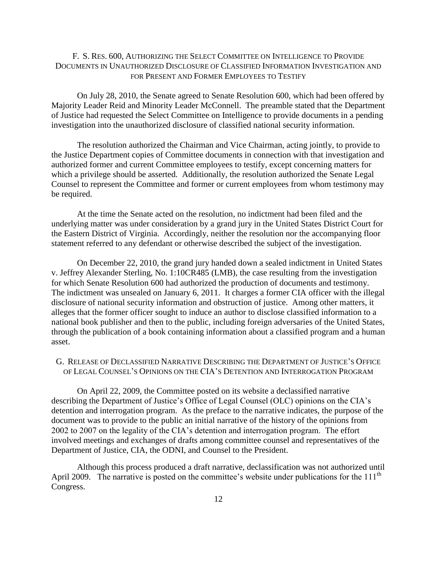# F. S. RES. 600, AUTHORIZING THE SELECT COMMITTEE ON INTELLIGENCE TO PROVIDE DOCUMENTS IN UNAUTHORIZED DISCLOSURE OF CLASSIFIED INFORMATION INVESTIGATION AND FOR PRESENT AND FORMER EMPLOYEES TO TESTIFY

On July 28, 2010, the Senate agreed to Senate Resolution 600, which had been offered by Majority Leader Reid and Minority Leader McConnell. The preamble stated that the Department of Justice had requested the Select Committee on Intelligence to provide documents in a pending investigation into the unauthorized disclosure of classified national security information.

The resolution authorized the Chairman and Vice Chairman, acting jointly, to provide to the Justice Department copies of Committee documents in connection with that investigation and authorized former and current Committee employees to testify, except concerning matters for which a privilege should be asserted. Additionally, the resolution authorized the Senate Legal Counsel to represent the Committee and former or current employees from whom testimony may be required.

At the time the Senate acted on the resolution, no indictment had been filed and the underlying matter was under consideration by a grand jury in the United States District Court for the Eastern District of Virginia. Accordingly, neither the resolution nor the accompanying floor statement referred to any defendant or otherwise described the subject of the investigation.

On December 22, 2010, the grand jury handed down a sealed indictment in United States v. Jeffrey Alexander Sterling, No. 1:10CR485 (LMB), the case resulting from the investigation for which Senate Resolution 600 had authorized the production of documents and testimony. The indictment was unsealed on January 6, 2011. It charges a former CIA officer with the illegal disclosure of national security information and obstruction of justice. Among other matters, it alleges that the former officer sought to induce an author to disclose classified information to a national book publisher and then to the public, including foreign adversaries of the United States, through the publication of a book containing information about a classified program and a human asset.

## G. RELEASE OF DECLASSIFIED NARRATIVE DESCRIBING THE DEPARTMENT OF JUSTICE'S OFFICE OF LEGAL COUNSEL'S OPINIONS ON THE CIA'S DETENTION AND INTERROGATION PROGRAM

 On April 22, 2009, the Committee posted on its website a declassified narrative describing the Department of Justice's Office of Legal Counsel (OLC) opinions on the CIA's detention and interrogation program. As the preface to the narrative indicates, the purpose of the document was to provide to the public an initial narrative of the history of the opinions from 2002 to 2007 on the legality of the CIA's detention and interrogation program. The effort involved meetings and exchanges of drafts among committee counsel and representatives of the Department of Justice, CIA, the ODNI, and Counsel to the President.

 Although this process produced a draft narrative, declassification was not authorized until April 2009. The narrative is posted on the committee's website under publications for the 111<sup>th</sup> Congress.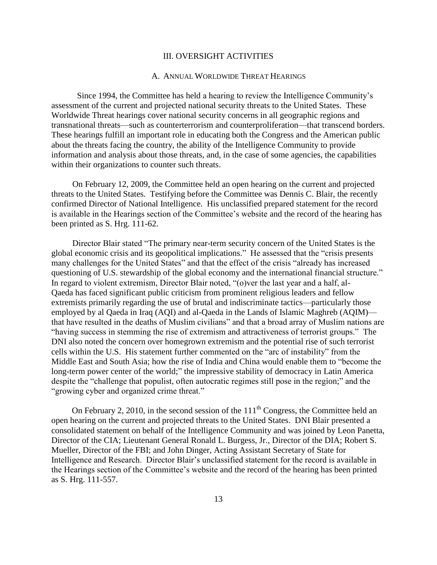## III. OVERSIGHT ACTIVITIES

#### A. ANNUAL WORLDWIDE THREAT HEARINGS

Since 1994, the Committee has held a hearing to review the Intelligence Community's assessment of the current and projected national security threats to the United States. These Worldwide Threat hearings cover national security concerns in all geographic regions and transnational threats—such as counterterrorism and counterproliferation—that transcend borders. These hearings fulfill an important role in educating both the Congress and the American public about the threats facing the country, the ability of the Intelligence Community to provide information and analysis about those threats, and, in the case of some agencies, the capabilities within their organizations to counter such threats.

 On February 12, 2009, the Committee held an open hearing on the current and projected threats to the United States. Testifying before the Committee was Dennis C. Blair, the recently confirmed Director of National Intelligence. His unclassified prepared statement for the record is available in the Hearings section of the Committee's website and the record of the hearing has been printed as S. Hrg. 111-62.

Director Blair stated "The primary near-term security concern of the United States is the global economic crisis and its geopolitical implications." He assessed that the "crisis presents" many challenges for the United States" and that the effect of the crisis "already has increased questioning of U.S. stewardship of the global economy and the international financial structure." In regard to violent extremism, Director Blair noted, "(o)ver the last year and a half, al-Qaeda has faced significant public criticism from prominent religious leaders and fellow extremists primarily regarding the use of brutal and indiscriminate tactics—particularly those employed by al Qaeda in Iraq (AQI) and al-Qaeda in the Lands of Islamic Maghreb (AQIM) that have resulted in the deaths of Muslim civilians" and that a broad array of Muslim nations are "having success in stemming the rise of extremism and attractiveness of terrorist groups." The DNI also noted the concern over homegrown extremism and the potential rise of such terrorist cells within the U.S. His statement further commented on the "arc of instability" from the Middle East and South Asia; how the rise of India and China would enable them to "become the long-term power center of the world;" the impressive stability of democracy in Latin America despite the "challenge that populist, often autocratic regimes still pose in the region;" and the "growing cyber and organized crime threat."

On February 2, 2010, in the second session of the  $111<sup>th</sup>$  Congress, the Committee held an open hearing on the current and projected threats to the United States. DNI Blair presented a consolidated statement on behalf of the Intelligence Community and was joined by Leon Panetta, Director of the CIA; Lieutenant General Ronald L. Burgess, Jr., Director of the DIA; Robert S. Mueller, Director of the FBI; and John Dinger, Acting Assistant Secretary of State for Intelligence and Research. Director Blair's unclassified statement for the record is available in the Hearings section of the Committee's website and the record of the hearing has been printed as S. Hrg. 111-557.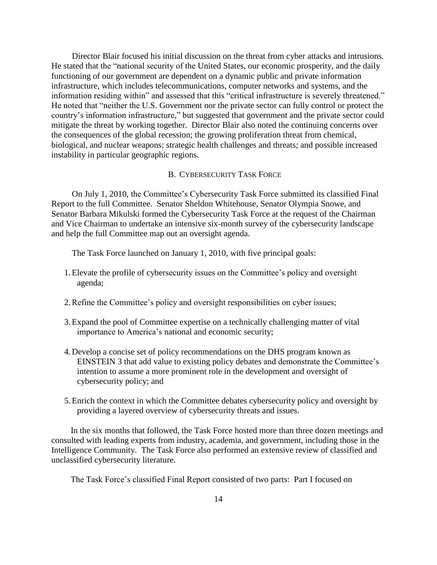Director Blair focused his initial discussion on the threat from cyber attacks and intrusions. He stated that the "national security of the United States, our economic prosperity, and the daily functioning of our government are dependent on a dynamic public and private information infrastructure, which includes telecommunications, computer networks and systems, and the information residing within" and assessed that this "critical infrastructure is severely threatened." He noted that "neither the U.S. Government nor the private sector can fully control or protect the country's information infrastructure," but suggested that government and the private sector could mitigate the threat by working together. Director Blair also noted the continuing concerns over the consequences of the global recession; the growing proliferation threat from chemical, biological, and nuclear weapons; strategic health challenges and threats; and possible increased instability in particular geographic regions.

#### B. CYBERSECURITY TASK FORCE

On July 1, 2010, the Committee's Cybersecurity Task Force submitted its classified Final Report to the full Committee. Senator Sheldon Whitehouse, Senator Olympia Snowe, and Senator Barbara Mikulski formed the Cybersecurity Task Force at the request of the Chairman and Vice Chairman to undertake an intensive six-month survey of the cybersecurity landscape and help the full Committee map out an oversight agenda.

The Task Force launched on January 1, 2010, with five principal goals:

- 1.Elevate the profile of cybersecurity issues on the Committee's policy and oversight agenda;
- 2.Refine the Committee's policy and oversight responsibilities on cyber issues;
- 3.Expand the pool of Committee expertise on a technically challenging matter of vital importance to America's national and economic security;
- 4. Develop a concise set of policy recommendations on the DHS program known as EINSTEIN 3 that add value to existing policy debates and demonstrate the Committee's intention to assume a more prominent role in the development and oversight of cybersecurity policy; and
- 5.Enrich the context in which the Committee debates cybersecurity policy and oversight by providing a layered overview of cybersecurity threats and issues.

 In the six months that followed, the Task Force hosted more than three dozen meetings and consulted with leading experts from industry, academia, and government, including those in the Intelligence Community. The Task Force also performed an extensive review of classified and unclassified cybersecurity literature.

The Task Force's classified Final Report consisted of two parts: Part I focused on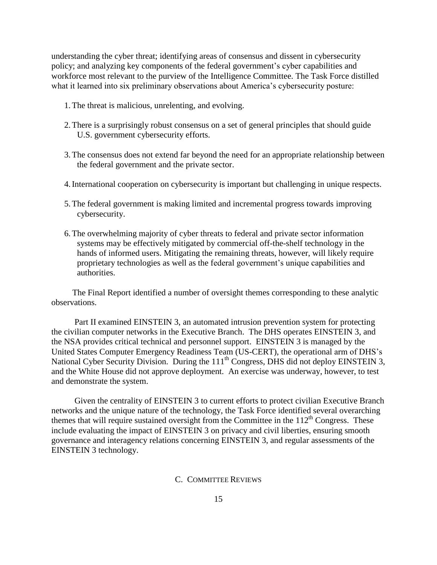understanding the cyber threat; identifying areas of consensus and dissent in cybersecurity policy; and analyzing key components of the federal government's cyber capabilities and workforce most relevant to the purview of the Intelligence Committee. The Task Force distilled what it learned into six preliminary observations about America's cybersecurity posture:

- 1.The threat is malicious, unrelenting, and evolving.
- 2.There is a surprisingly robust consensus on a set of general principles that should guide U.S. government cybersecurity efforts.
- 3.The consensus does not extend far beyond the need for an appropriate relationship between the federal government and the private sector.
- 4.International cooperation on cybersecurity is important but challenging in unique respects.
- 5.The federal government is making limited and incremental progress towards improving cybersecurity.
- 6.The overwhelming majority of cyber threats to federal and private sector information systems may be effectively mitigated by commercial off-the-shelf technology in the hands of informed users. Mitigating the remaining threats, however, will likely require proprietary technologies as well as the federal government's unique capabilities and authorities.

 The Final Report identified a number of oversight themes corresponding to these analytic observations.

 Part II examined EINSTEIN 3, an automated intrusion prevention system for protecting the civilian computer networks in the Executive Branch. The DHS operates EINSTEIN 3, and the NSA provides critical technical and personnel support. EINSTEIN 3 is managed by the United States Computer Emergency Readiness Team (US-CERT), the operational arm of DHS's National Cyber Security Division. During the 111<sup>th</sup> Congress, DHS did not deploy EINSTEIN 3, and the White House did not approve deployment. An exercise was underway, however, to test and demonstrate the system.

 Given the centrality of EINSTEIN 3 to current efforts to protect civilian Executive Branch networks and the unique nature of the technology, the Task Force identified several overarching themes that will require sustained oversight from the Committee in the  $112<sup>th</sup>$  Congress. These include evaluating the impact of EINSTEIN 3 on privacy and civil liberties, ensuring smooth governance and interagency relations concerning EINSTEIN 3, and regular assessments of the EINSTEIN 3 technology.

## C. COMMITTEE REVIEWS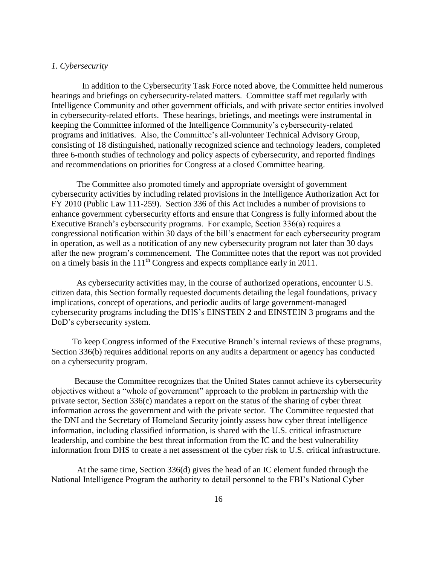## *1. Cybersecurity*

In addition to the Cybersecurity Task Force noted above, the Committee held numerous hearings and briefings on cybersecurity-related matters. Committee staff met regularly with Intelligence Community and other government officials, and with private sector entities involved in cybersecurity-related efforts. These hearings, briefings, and meetings were instrumental in keeping the Committee informed of the Intelligence Community's cybersecurity-related programs and initiatives. Also, the Committee's all-volunteer Technical Advisory Group, consisting of 18 distinguished, nationally recognized science and technology leaders, completed three 6-month studies of technology and policy aspects of cybersecurity, and reported findings and recommendations on priorities for Congress at a closed Committee hearing.

 The Committee also promoted timely and appropriate oversight of government cybersecurity activities by including related provisions in the Intelligence Authorization Act for FY 2010 (Public Law 111-259). Section 336 of this Act includes a number of provisions to enhance government cybersecurity efforts and ensure that Congress is fully informed about the Executive Branch's cybersecurity programs. For example, Section 336(a) requires a congressional notification within 30 days of the bill's enactment for each cybersecurity program in operation, as well as a notification of any new cybersecurity program not later than 30 days after the new program's commencement. The Committee notes that the report was not provided on a timely basis in the  $111<sup>th</sup>$  Congress and expects compliance early in 2011.

 As cybersecurity activities may, in the course of authorized operations, encounter U.S. citizen data, this Section formally requested documents detailing the legal foundations, privacy implications, concept of operations, and periodic audits of large government-managed cybersecurity programs including the DHS's EINSTEIN 2 and EINSTEIN 3 programs and the DoD's cybersecurity system.

 To keep Congress informed of the Executive Branch's internal reviews of these programs, Section 336(b) requires additional reports on any audits a department or agency has conducted on a cybersecurity program.

 Because the Committee recognizes that the United States cannot achieve its cybersecurity objectives without a "whole of government" approach to the problem in partnership with the private sector, Section 336(c) mandates a report on the status of the sharing of cyber threat information across the government and with the private sector. The Committee requested that the DNI and the Secretary of Homeland Security jointly assess how cyber threat intelligence information, including classified information, is shared with the U.S. critical infrastructure leadership, and combine the best threat information from the IC and the best vulnerability information from DHS to create a net assessment of the cyber risk to U.S. critical infrastructure.

At the same time, Section 336(d) gives the head of an IC element funded through the National Intelligence Program the authority to detail personnel to the FBI's National Cyber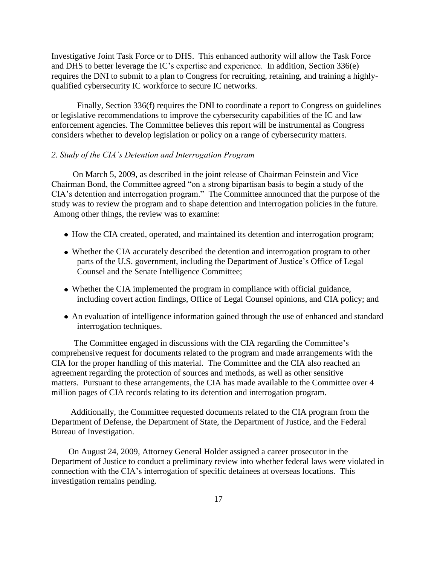Investigative Joint Task Force or to DHS. This enhanced authority will allow the Task Force and DHS to better leverage the IC's expertise and experience. In addition, Section 336(e) requires the DNI to submit to a plan to Congress for recruiting, retaining, and training a highlyqualified cybersecurity IC workforce to secure IC networks.

Finally, Section 336(f) requires the DNI to coordinate a report to Congress on guidelines or legislative recommendations to improve the cybersecurity capabilities of the IC and law enforcement agencies. The Committee believes this report will be instrumental as Congress considers whether to develop legislation or policy on a range of cybersecurity matters.

## *2. Study of the CIA's Detention and Interrogation Program*

 On March 5, 2009, as described in the joint release of Chairman Feinstein and Vice Chairman Bond, the Committee agreed "on a strong bipartisan basis to begin a study of the CIA's detention and interrogation program." The Committee announced that the purpose of the study was to review the program and to shape detention and interrogation policies in the future. Among other things, the review was to examine:

- How the CIA created, operated, and maintained its detention and interrogation program;
- Whether the CIA accurately described the detention and interrogation program to other parts of the U.S. government, including the Department of Justice's Office of Legal Counsel and the Senate Intelligence Committee;
- Whether the CIA implemented the program in compliance with official guidance, including covert action findings, Office of Legal Counsel opinions, and CIA policy; and
- An evaluation of intelligence information gained through the use of enhanced and standard interrogation techniques.

The Committee engaged in discussions with the CIA regarding the Committee's comprehensive request for documents related to the program and made arrangements with the CIA for the proper handling of this material. The Committee and the CIA also reached an agreement regarding the protection of sources and methods, as well as other sensitive matters. Pursuant to these arrangements, the CIA has made available to the Committee over 4 million pages of CIA records relating to its detention and interrogation program.

 Additionally, the Committee requested documents related to the CIA program from the Department of Defense, the Department of State, the Department of Justice, and the Federal Bureau of Investigation.

 On August 24, 2009, Attorney General Holder assigned a career prosecutor in the Department of Justice to conduct a preliminary review into whether federal laws were violated in connection with the CIA's interrogation of specific detainees at overseas locations. This investigation remains pending.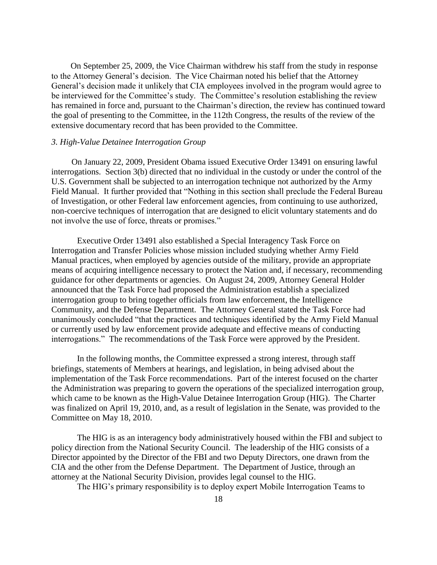On September 25, 2009, the Vice Chairman withdrew his staff from the study in response to the Attorney General's decision. The Vice Chairman noted his belief that the Attorney General's decision made it unlikely that CIA employees involved in the program would agree to be interviewed for the Committee's study. The Committee's resolution establishing the review has remained in force and, pursuant to the Chairman's direction, the review has continued toward the goal of presenting to the Committee, in the 112th Congress, the results of the review of the extensive documentary record that has been provided to the Committee.

## *3. High-Value Detainee Interrogation Group*

 On January 22, 2009, President Obama issued Executive Order 13491 on ensuring lawful interrogations. Section 3(b) directed that no individual in the custody or under the control of the U.S. Government shall be subjected to an interrogation technique not authorized by the Army Field Manual. It further provided that "Nothing in this section shall preclude the Federal Bureau of Investigation, or other Federal law enforcement agencies, from continuing to use authorized, non-coercive techniques of interrogation that are designed to elicit voluntary statements and do not involve the use of force, threats or promises."

Executive Order 13491 also established a Special Interagency Task Force on Interrogation and Transfer Policies whose mission included studying whether Army Field Manual practices, when employed by agencies outside of the military, provide an appropriate means of acquiring intelligence necessary to protect the Nation and, if necessary, recommending guidance for other departments or agencies. On August 24, 2009, Attorney General Holder announced that the Task Force had proposed the Administration establish a specialized interrogation group to bring together officials from law enforcement, the Intelligence Community, and the Defense Department. The Attorney General stated the Task Force had unanimously concluded "that the practices and techniques identified by the Army Field Manual or currently used by law enforcement provide adequate and effective means of conducting interrogations." The recommendations of the Task Force were approved by the President.

In the following months, the Committee expressed a strong interest, through staff briefings, statements of Members at hearings, and legislation, in being advised about the implementation of the Task Force recommendations. Part of the interest focused on the charter the Administration was preparing to govern the operations of the specialized interrogation group, which came to be known as the High-Value Detainee Interrogation Group (HIG). The Charter was finalized on April 19, 2010, and, as a result of legislation in the Senate, was provided to the Committee on May 18, 2010.

The HIG is as an interagency body administratively housed within the FBI and subject to policy direction from the National Security Council. The leadership of the HIG consists of a Director appointed by the Director of the FBI and two Deputy Directors, one drawn from the CIA and the other from the Defense Department. The Department of Justice, through an attorney at the National Security Division, provides legal counsel to the HIG.

The HIG's primary responsibility is to deploy expert Mobile Interrogation Teams to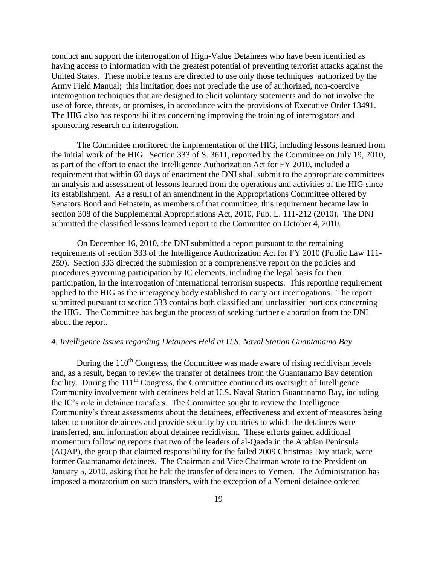conduct and support the interrogation of High-Value Detainees who have been identified as having access to information with the greatest potential of preventing terrorist attacks against the United States. These mobile teams are directed to use only those techniques authorized by the Army Field Manual; this limitation does not preclude the use of authorized, non-coercive interrogation techniques that are designed to elicit voluntary statements and do not involve the use of force, threats, or promises, in accordance with the provisions of Executive Order 13491. The HIG also has responsibilities concerning improving the training of interrogators and sponsoring research on interrogation.

The Committee monitored the implementation of the HIG, including lessons learned from the initial work of the HIG. Section 333 of S. 3611, reported by the Committee on July 19, 2010, as part of the effort to enact the Intelligence Authorization Act for FY 2010, included a requirement that within 60 days of enactment the DNI shall submit to the appropriate committees an analysis and assessment of lessons learned from the operations and activities of the HIG since its establishment. As a result of an amendment in the Appropriations Committee offered by Senators Bond and Feinstein, as members of that committee, this requirement became law in section 308 of the Supplemental Appropriations Act, 2010, Pub. L. 111-212 (2010). The DNI submitted the classified lessons learned report to the Committee on October 4, 2010.

On December 16, 2010, the DNI submitted a report pursuant to the remaining requirements of section 333 of the Intelligence Authorization Act for FY 2010 (Public Law 111- 259). Section 333 directed the submission of a comprehensive report on the policies and procedures governing participation by IC elements, including the legal basis for their participation, in the interrogation of international terrorism suspects. This reporting requirement applied to the HIG as the interagency body established to carry out interrogations. The report submitted pursuant to section 333 contains both classified and unclassified portions concerning the HIG. The Committee has begun the process of seeking further elaboration from the DNI about the report.

## *4. Intelligence Issues regarding Detainees Held at U.S. Naval Station Guantanamo Bay*

During the  $110<sup>th</sup>$  Congress, the Committee was made aware of rising recidivism levels and, as a result, began to review the transfer of detainees from the Guantanamo Bay detention facility. During the 111<sup>th</sup> Congress, the Committee continued its oversight of Intelligence Community involvement with detainees held at U.S. Naval Station Guantanamo Bay, including the IC's role in detainee transfers. The Committee sought to review the Intelligence Community's threat assessments about the detainees, effectiveness and extent of measures being taken to monitor detainees and provide security by countries to which the detainees were transferred, and information about detainee recidivism. These efforts gained additional momentum following reports that two of the leaders of al-Qaeda in the Arabian Peninsula (AQAP), the group that claimed responsibility for the failed 2009 Christmas Day attack, were former Guantanamo detainees. The Chairman and Vice Chairman wrote to the President on January 5, 2010, asking that he halt the transfer of detainees to Yemen. The Administration has imposed a moratorium on such transfers, with the exception of a Yemeni detainee ordered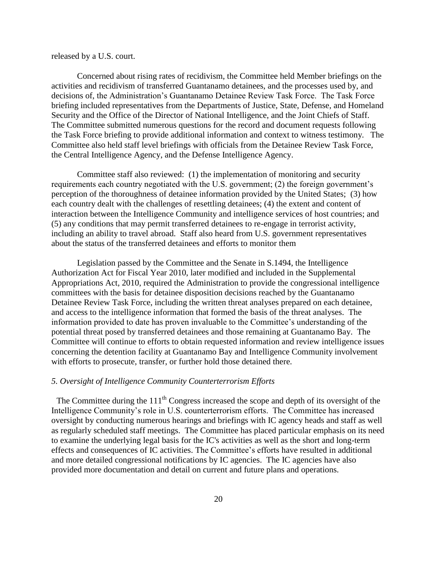released by a U.S. court.

Concerned about rising rates of recidivism, the Committee held Member briefings on the activities and recidivism of transferred Guantanamo detainees, and the processes used by, and decisions of, the Administration's Guantanamo Detainee Review Task Force. The Task Force briefing included representatives from the Departments of Justice, State, Defense, and Homeland Security and the Office of the Director of National Intelligence, and the Joint Chiefs of Staff. The Committee submitted numerous questions for the record and document requests following the Task Force briefing to provide additional information and context to witness testimony. The Committee also held staff level briefings with officials from the Detainee Review Task Force, the Central Intelligence Agency, and the Defense Intelligence Agency.

Committee staff also reviewed: (1) the implementation of monitoring and security requirements each country negotiated with the U.S. government; (2) the foreign government's perception of the thoroughness of detainee information provided by the United States; (3) how each country dealt with the challenges of resettling detainees; (4) the extent and content of interaction between the Intelligence Community and intelligence services of host countries; and (5) any conditions that may permit transferred detainees to re-engage in terrorist activity, including an ability to travel abroad. Staff also heard from U.S. government representatives about the status of the transferred detainees and efforts to monitor them

Legislation passed by the Committee and the Senate in S.1494, the Intelligence Authorization Act for Fiscal Year 2010, later modified and included in the Supplemental Appropriations Act, 2010, required the Administration to provide the congressional intelligence committees with the basis for detainee disposition decisions reached by the Guantanamo Detainee Review Task Force, including the written threat analyses prepared on each detainee, and access to the intelligence information that formed the basis of the threat analyses. The information provided to date has proven invaluable to the Committee's understanding of the potential threat posed by transferred detainees and those remaining at Guantanamo Bay. The Committee will continue to efforts to obtain requested information and review intelligence issues concerning the detention facility at Guantanamo Bay and Intelligence Community involvement with efforts to prosecute, transfer, or further hold those detained there.

#### *5. Oversight of Intelligence Community Counterterrorism Efforts*

The Committee during the  $111<sup>th</sup>$  Congress increased the scope and depth of its oversight of the Intelligence Community's role in U.S. counterterrorism efforts. The Committee has increased oversight by conducting numerous hearings and briefings with IC agency heads and staff as well as regularly scheduled staff meetings. The Committee has placed particular emphasis on its need to examine the underlying legal basis for the IC's activities as well as the short and long-term effects and consequences of IC activities. The Committee's efforts have resulted in additional and more detailed congressional notifications by IC agencies. The IC agencies have also provided more documentation and detail on current and future plans and operations.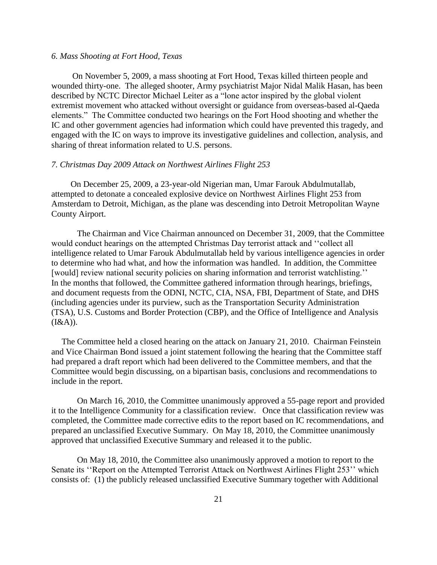#### *6. Mass Shooting at Fort Hood, Texas*

 On November 5, 2009, a mass shooting at Fort Hood, Texas killed thirteen people and wounded thirty-one. The alleged shooter, Army psychiatrist Major Nidal Malik Hasan, has been described by NCTC Director Michael Leiter as a "lone actor inspired by the global violent extremist movement who attacked without oversight or guidance from overseas-based al-Qaeda elements.‖ The Committee conducted two hearings on the Fort Hood shooting and whether the IC and other government agencies had information which could have prevented this tragedy, and engaged with the IC on ways to improve its investigative guidelines and collection, analysis, and sharing of threat information related to U.S. persons.

#### *7. Christmas Day 2009 Attack on Northwest Airlines Flight 253*

 On December 25, 2009, a 23-year-old Nigerian man, Umar Farouk Abdulmutallab, attempted to detonate a concealed explosive device on Northwest Airlines Flight 253 from Amsterdam to Detroit, Michigan, as the plane was descending into Detroit Metropolitan Wayne County Airport.

The Chairman and Vice Chairman announced on December 31, 2009, that the Committee would conduct hearings on the attempted Christmas Day terrorist attack and "collect all intelligence related to Umar Farouk Abdulmutallab held by various intelligence agencies in order to determine who had what, and how the information was handled. In addition, the Committee [would] review national security policies on sharing information and terrorist watchlisting.'' In the months that followed, the Committee gathered information through hearings, briefings, and document requests from the ODNI, NCTC, CIA, NSA, FBI, Department of State, and DHS (including agencies under its purview, such as the Transportation Security Administration (TSA), U.S. Customs and Border Protection (CBP), and the Office of Intelligence and Analysis  $(I&A)).$ 

The Committee held a closed hearing on the attack on January 21, 2010. Chairman Feinstein and Vice Chairman Bond issued a joint statement following the hearing that the Committee staff had prepared a draft report which had been delivered to the Committee members, and that the Committee would begin discussing, on a bipartisan basis, conclusions and recommendations to include in the report.

On March 16, 2010, the Committee unanimously approved a 55-page report and provided it to the Intelligence Community for a classification review. Once that classification review was completed, the Committee made corrective edits to the report based on IC recommendations, and prepared an unclassified Executive Summary. On May 18, 2010, the Committee unanimously approved that unclassified Executive Summary and released it to the public.

On May 18, 2010, the Committee also unanimously approved a motion to report to the Senate its "Report on the Attempted Terrorist Attack on Northwest Airlines Flight 253" which consists of: (1) the publicly released unclassified Executive Summary together with Additional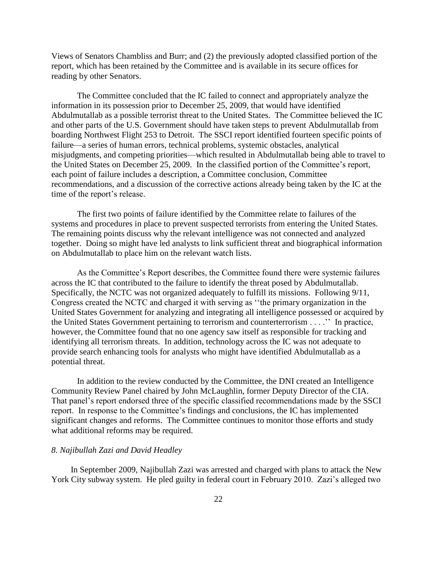Views of Senators Chambliss and Burr; and (2) the previously adopted classified portion of the report, which has been retained by the Committee and is available in its secure offices for reading by other Senators.

The Committee concluded that the IC failed to connect and appropriately analyze the information in its possession prior to December 25, 2009, that would have identified Abdulmutallab as a possible terrorist threat to the United States. The Committee believed the IC and other parts of the U.S. Government should have taken steps to prevent Abdulmutallab from boarding Northwest Flight 253 to Detroit. The SSCI report identified fourteen specific points of failure—a series of human errors, technical problems, systemic obstacles, analytical misjudgments, and competing priorities—which resulted in Abdulmutallab being able to travel to the United States on December 25, 2009. In the classified portion of the Committee's report, each point of failure includes a description, a Committee conclusion, Committee recommendations, and a discussion of the corrective actions already being taken by the IC at the time of the report's release.

The first two points of failure identified by the Committee relate to failures of the systems and procedures in place to prevent suspected terrorists from entering the United States. The remaining points discuss why the relevant intelligence was not connected and analyzed together. Doing so might have led analysts to link sufficient threat and biographical information on Abdulmutallab to place him on the relevant watch lists.

As the Committee's Report describes, the Committee found there were systemic failures across the IC that contributed to the failure to identify the threat posed by Abdulmutallab. Specifically, the NCTC was not organized adequately to fulfill its missions. Following 9/11, Congress created the NCTC and charged it with serving as "the primary organization in the United States Government for analyzing and integrating all intelligence possessed or acquired by the United States Government pertaining to terrorism and counterterrorism . . . .'' In practice, however, the Committee found that no one agency saw itself as responsible for tracking and identifying all terrorism threats. In addition, technology across the IC was not adequate to provide search enhancing tools for analysts who might have identified Abdulmutallab as a potential threat.

In addition to the review conducted by the Committee, the DNI created an Intelligence Community Review Panel chaired by John McLaughlin, former Deputy Director of the CIA. That panel's report endorsed three of the specific classified recommendations made by the SSCI report. In response to the Committee's findings and conclusions, the IC has implemented significant changes and reforms. The Committee continues to monitor those efforts and study what additional reforms may be required.

## *8. Najibullah Zazi and David Headley*

 In September 2009, Najibullah Zazi was arrested and charged with plans to attack the New York City subway system. He pled guilty in federal court in February 2010. Zazi's alleged two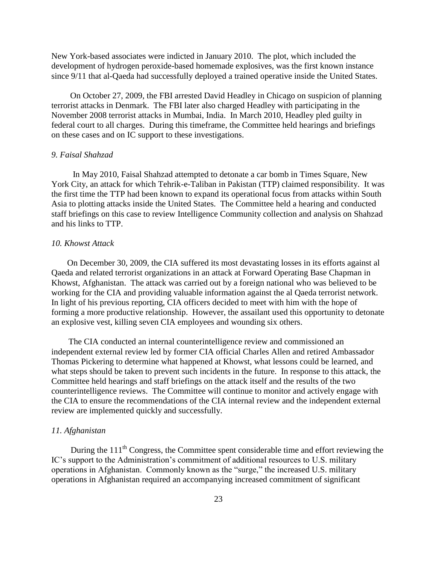New York-based associates were indicted in January 2010. The plot, which included the development of hydrogen peroxide-based homemade explosives, was the first known instance since 9/11 that al-Qaeda had successfully deployed a trained operative inside the United States.

 On October 27, 2009, the FBI arrested David Headley in Chicago on suspicion of planning terrorist attacks in Denmark. The FBI later also charged Headley with participating in the November 2008 terrorist attacks in Mumbai, India. In March 2010, Headley pled guilty in federal court to all charges. During this timeframe, the Committee held hearings and briefings on these cases and on IC support to these investigations.

## *9. Faisal Shahzad*

 In May 2010, Faisal Shahzad attempted to detonate a car bomb in Times Square, New York City, an attack for which Tehrik-e-Taliban in Pakistan (TTP) claimed responsibility. It was the first time the TTP had been known to expand its operational focus from attacks within South Asia to plotting attacks inside the United States. The Committee held a hearing and conducted staff briefings on this case to review Intelligence Community collection and analysis on Shahzad and his links to TTP.

#### *10. Khowst Attack*

 On December 30, 2009, the CIA suffered its most devastating losses in its efforts against al Qaeda and related terrorist organizations in an attack at Forward Operating Base Chapman in Khowst, Afghanistan. The attack was carried out by a foreign national who was believed to be working for the CIA and providing valuable information against the al Qaeda terrorist network. In light of his previous reporting, CIA officers decided to meet with him with the hope of forming a more productive relationship. However, the assailant used this opportunity to detonate an explosive vest, killing seven CIA employees and wounding six others.

 The CIA conducted an internal counterintelligence review and commissioned an independent external review led by former CIA official Charles Allen and retired Ambassador Thomas Pickering to determine what happened at Khowst, what lessons could be learned, and what steps should be taken to prevent such incidents in the future. In response to this attack, the Committee held hearings and staff briefings on the attack itself and the results of the two counterintelligence reviews. The Committee will continue to monitor and actively engage with the CIA to ensure the recommendations of the CIA internal review and the independent external review are implemented quickly and successfully.

#### *11. Afghanistan*

During the 111<sup>th</sup> Congress, the Committee spent considerable time and effort reviewing the IC's support to the Administration's commitment of additional resources to U.S. military operations in Afghanistan. Commonly known as the "surge," the increased U.S. military operations in Afghanistan required an accompanying increased commitment of significant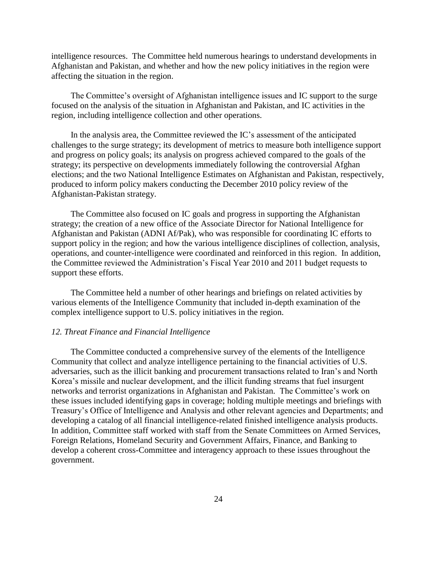intelligence resources. The Committee held numerous hearings to understand developments in Afghanistan and Pakistan, and whether and how the new policy initiatives in the region were affecting the situation in the region.

 The Committee's oversight of Afghanistan intelligence issues and IC support to the surge focused on the analysis of the situation in Afghanistan and Pakistan, and IC activities in the region, including intelligence collection and other operations.

 In the analysis area, the Committee reviewed the IC's assessment of the anticipated challenges to the surge strategy; its development of metrics to measure both intelligence support and progress on policy goals; its analysis on progress achieved compared to the goals of the strategy; its perspective on developments immediately following the controversial Afghan elections; and the two National Intelligence Estimates on Afghanistan and Pakistan, respectively, produced to inform policy makers conducting the December 2010 policy review of the Afghanistan-Pakistan strategy.

 The Committee also focused on IC goals and progress in supporting the Afghanistan strategy; the creation of a new office of the Associate Director for National Intelligence for Afghanistan and Pakistan (ADNI Af/Pak), who was responsible for coordinating IC efforts to support policy in the region; and how the various intelligence disciplines of collection, analysis, operations, and counter-intelligence were coordinated and reinforced in this region. In addition, the Committee reviewed the Administration's Fiscal Year 2010 and 2011 budget requests to support these efforts.

 The Committee held a number of other hearings and briefings on related activities by various elements of the Intelligence Community that included in-depth examination of the complex intelligence support to U.S. policy initiatives in the region.

#### *12. Threat Finance and Financial Intelligence*

 The Committee conducted a comprehensive survey of the elements of the Intelligence Community that collect and analyze intelligence pertaining to the financial activities of U.S. adversaries, such as the illicit banking and procurement transactions related to Iran's and North Korea's missile and nuclear development, and the illicit funding streams that fuel insurgent networks and terrorist organizations in Afghanistan and Pakistan. The Committee's work on these issues included identifying gaps in coverage; holding multiple meetings and briefings with Treasury's Office of Intelligence and Analysis and other relevant agencies and Departments; and developing a catalog of all financial intelligence-related finished intelligence analysis products. In addition, Committee staff worked with staff from the Senate Committees on Armed Services, Foreign Relations, Homeland Security and Government Affairs, Finance, and Banking to develop a coherent cross-Committee and interagency approach to these issues throughout the government.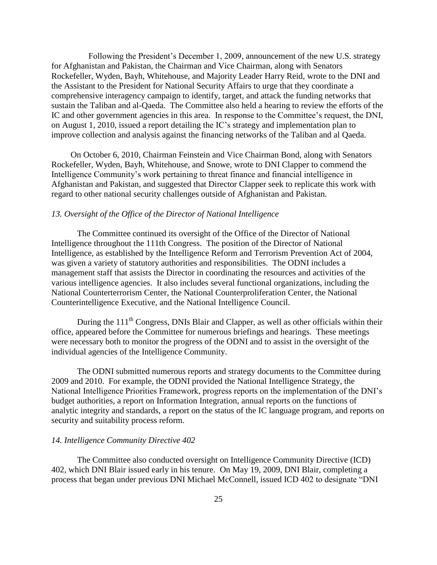Following the President's December 1, 2009, announcement of the new U.S. strategy for Afghanistan and Pakistan, the Chairman and Vice Chairman, along with Senators Rockefeller, Wyden, Bayh, Whitehouse, and Majority Leader Harry Reid, wrote to the DNI and the Assistant to the President for National Security Affairs to urge that they coordinate a comprehensive interagency campaign to identify, target, and attack the funding networks that sustain the Taliban and al-Qaeda. The Committee also held a hearing to review the efforts of the IC and other government agencies in this area. In response to the Committee's request, the DNI, on August 1, 2010, issued a report detailing the IC's strategy and implementation plan to improve collection and analysis against the financing networks of the Taliban and al Qaeda.

 On October 6, 2010, Chairman Feinstein and Vice Chairman Bond, along with Senators Rockefeller, Wyden, Bayh, Whitehouse, and Snowe, wrote to DNI Clapper to commend the Intelligence Community's work pertaining to threat finance and financial intelligence in Afghanistan and Pakistan, and suggested that Director Clapper seek to replicate this work with regard to other national security challenges outside of Afghanistan and Pakistan.

## *13. Oversight of the Office of the Director of National Intelligence*

The Committee continued its oversight of the Office of the Director of National Intelligence throughout the 111th Congress. The position of the Director of National Intelligence, as established by the Intelligence Reform and Terrorism Prevention Act of 2004, was given a variety of statutory authorities and responsibilities. The ODNI includes a management staff that assists the Director in coordinating the resources and activities of the various intelligence agencies. It also includes several functional organizations, including the National Counterterrorism Center, the National Counterproliferation Center, the National Counterintelligence Executive, and the National Intelligence Council.

During the 111<sup>th</sup> Congress, DNIs Blair and Clapper, as well as other officials within their office, appeared before the Committee for numerous briefings and hearings. These meetings were necessary both to monitor the progress of the ODNI and to assist in the oversight of the individual agencies of the Intelligence Community.

The ODNI submitted numerous reports and strategy documents to the Committee during 2009 and 2010. For example, the ODNI provided the National Intelligence Strategy, the National Intelligence Priorities Framework, progress reports on the implementation of the DNI's budget authorities, a report on Information Integration, annual reports on the functions of analytic integrity and standards, a report on the status of the IC language program, and reports on security and suitability process reform.

#### *14. Intelligence Community Directive 402*

The Committee also conducted oversight on Intelligence Community Directive (ICD) 402, which DNI Blair issued early in his tenure. On May 19, 2009, DNI Blair, completing a process that began under previous DNI Michael McConnell, issued ICD 402 to designate "DNI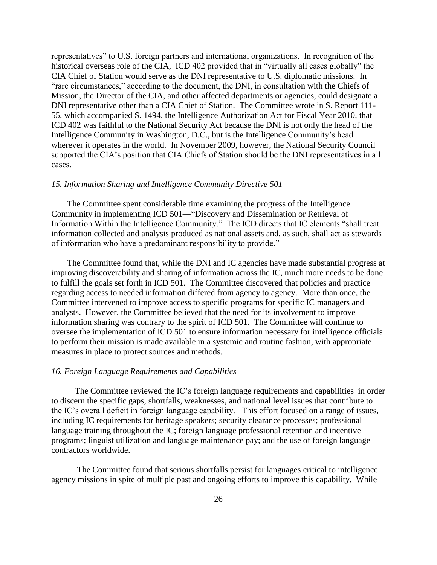representatives" to U.S. foreign partners and international organizations. In recognition of the historical overseas role of the CIA, ICD 402 provided that in "virtually all cases globally" the CIA Chief of Station would serve as the DNI representative to U.S. diplomatic missions. In "rare circumstances," according to the document, the DNI, in consultation with the Chiefs of Mission, the Director of the CIA, and other affected departments or agencies, could designate a DNI representative other than a CIA Chief of Station. The Committee wrote in S. Report 111- 55, which accompanied S. 1494, the Intelligence Authorization Act for Fiscal Year 2010, that ICD 402 was faithful to the National Security Act because the DNI is not only the head of the Intelligence Community in Washington, D.C., but is the Intelligence Community's head wherever it operates in the world. In November 2009, however, the National Security Council supported the CIA's position that CIA Chiefs of Station should be the DNI representatives in all cases.

#### *15. Information Sharing and Intelligence Community Directive 501*

 The Committee spent considerable time examining the progress of the Intelligence Community in implementing ICD 501—"Discovery and Dissemination or Retrieval of Information Within the Intelligence Community." The ICD directs that IC elements "shall treat information collected and analysis produced as national assets and, as such, shall act as stewards of information who have a predominant responsibility to provide."

 The Committee found that, while the DNI and IC agencies have made substantial progress at improving discoverability and sharing of information across the IC, much more needs to be done to fulfill the goals set forth in ICD 501. The Committee discovered that policies and practice regarding access to needed information differed from agency to agency. More than once, the Committee intervened to improve access to specific programs for specific IC managers and analysts. However, the Committee believed that the need for its involvement to improve information sharing was contrary to the spirit of ICD 501. The Committee will continue to oversee the implementation of ICD 501 to ensure information necessary for intelligence officials to perform their mission is made available in a systemic and routine fashion, with appropriate measures in place to protect sources and methods.

#### *16. Foreign Language Requirements and Capabilities*

 The Committee reviewed the IC's foreign language requirements and capabilities in order to discern the specific gaps, shortfalls, weaknesses, and national level issues that contribute to the IC's overall deficit in foreign language capability. This effort focused on a range of issues, including IC requirements for heritage speakers; security clearance processes; professional language training throughout the IC; foreign language professional retention and incentive programs; linguist utilization and language maintenance pay; and the use of foreign language contractors worldwide.

The Committee found that serious shortfalls persist for languages critical to intelligence agency missions in spite of multiple past and ongoing efforts to improve this capability. While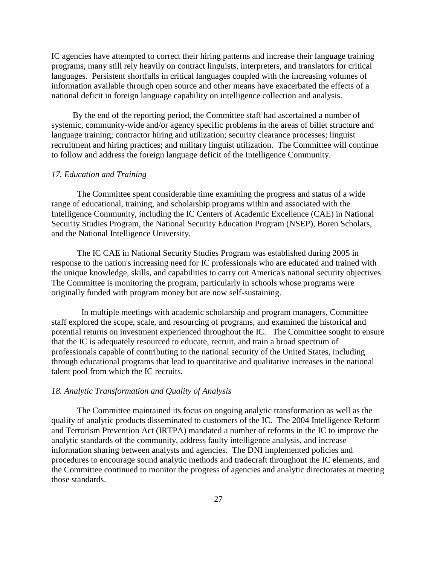IC agencies have attempted to correct their hiring patterns and increase their language training programs, many still rely heavily on contract linguists, interpreters, and translators for critical languages. Persistent shortfalls in critical languages coupled with the increasing volumes of information available through open source and other means have exacerbated the effects of a national deficit in foreign language capability on intelligence collection and analysis.

 By the end of the reporting period, the Committee staff had ascertained a number of systemic, community-wide and/or agency specific problems in the areas of billet structure and language training; contractor hiring and utilization; security clearance processes; linguist recruitment and hiring practices; and military linguist utilization. The Committee will continue to follow and address the foreign language deficit of the Intelligence Community.

## *17. Education and Training*

The Committee spent considerable time examining the progress and status of a wide range of educational, training, and scholarship programs within and associated with the Intelligence Community, including the IC Centers of Academic Excellence (CAE) in National Security Studies Program, the National Security Education Program (NSEP), Boren Scholars, and the National Intelligence University.

The IC CAE in National Security Studies Program was established during 2005 in response to the nation's increasing need for IC professionals who are educated and trained with the unique knowledge, skills, and capabilities to carry out America's national security objectives. The Committee is monitoring the program, particularly in schools whose programs were originally funded with program money but are now self-sustaining.

 In multiple meetings with academic scholarship and program managers, Committee staff explored the scope, scale, and resourcing of programs, and examined the historical and potential returns on investment experienced throughout the IC. The Committee sought to ensure that the IC is adequately resourced to educate, recruit, and train a broad spectrum of professionals capable of contributing to the national security of the United States, including through educational programs that lead to quantitative and qualitative increases in the national talent pool from which the IC recruits.

## *18. Analytic Transformation and Quality of Analysis*

The Committee maintained its focus on ongoing analytic transformation as well as the quality of analytic products disseminated to customers of the IC. The 2004 Intelligence Reform and Terrorism Prevention Act (IRTPA) mandated a number of reforms in the IC to improve the analytic standards of the community, address faulty intelligence analysis, and increase information sharing between analysts and agencies. The DNI implemented policies and procedures to encourage sound analytic methods and tradecraft throughout the IC elements, and the Committee continued to monitor the progress of agencies and analytic directorates at meeting those standards.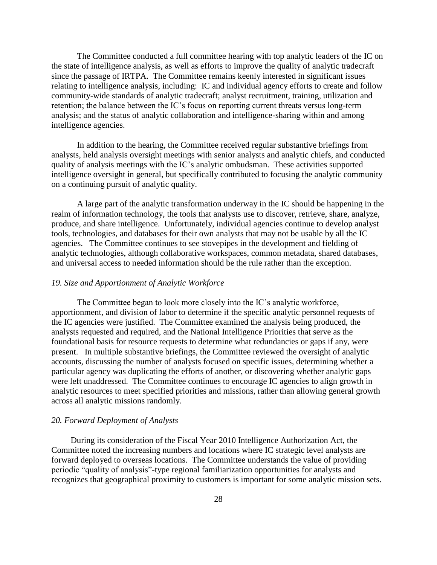The Committee conducted a full committee hearing with top analytic leaders of the IC on the state of intelligence analysis, as well as efforts to improve the quality of analytic tradecraft since the passage of IRTPA. The Committee remains keenly interested in significant issues relating to intelligence analysis, including: IC and individual agency efforts to create and follow community-wide standards of analytic tradecraft; analyst recruitment, training, utilization and retention; the balance between the IC's focus on reporting current threats versus long-term analysis; and the status of analytic collaboration and intelligence-sharing within and among intelligence agencies.

In addition to the hearing, the Committee received regular substantive briefings from analysts, held analysis oversight meetings with senior analysts and analytic chiefs, and conducted quality of analysis meetings with the IC's analytic ombudsman. These activities supported intelligence oversight in general, but specifically contributed to focusing the analytic community on a continuing pursuit of analytic quality.

A large part of the analytic transformation underway in the IC should be happening in the realm of information technology, the tools that analysts use to discover, retrieve, share, analyze, produce, and share intelligence. Unfortunately, individual agencies continue to develop analyst tools, technologies, and databases for their own analysts that may not be usable by all the IC agencies. The Committee continues to see stovepipes in the development and fielding of analytic technologies, although collaborative workspaces, common metadata, shared databases, and universal access to needed information should be the rule rather than the exception.

#### *19. Size and Apportionment of Analytic Workforce*

The Committee began to look more closely into the IC's analytic workforce, apportionment, and division of labor to determine if the specific analytic personnel requests of the IC agencies were justified. The Committee examined the analysis being produced, the analysts requested and required, and the National Intelligence Priorities that serve as the foundational basis for resource requests to determine what redundancies or gaps if any, were present. In multiple substantive briefings, the Committee reviewed the oversight of analytic accounts, discussing the number of analysts focused on specific issues, determining whether a particular agency was duplicating the efforts of another, or discovering whether analytic gaps were left unaddressed. The Committee continues to encourage IC agencies to align growth in analytic resources to meet specified priorities and missions, rather than allowing general growth across all analytic missions randomly.

#### *20. Forward Deployment of Analysts*

 During its consideration of the Fiscal Year 2010 Intelligence Authorization Act, the Committee noted the increasing numbers and locations where IC strategic level analysts are forward deployed to overseas locations. The Committee understands the value of providing periodic "quality of analysis"-type regional familiarization opportunities for analysts and recognizes that geographical proximity to customers is important for some analytic mission sets.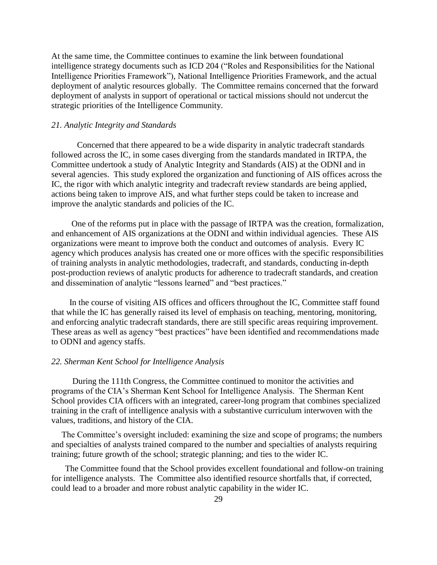At the same time, the Committee continues to examine the link between foundational intelligence strategy documents such as ICD 204 ("Roles and Responsibilities for the National Intelligence Priorities Framework"), National Intelligence Priorities Framework, and the actual deployment of analytic resources globally. The Committee remains concerned that the forward deployment of analysts in support of operational or tactical missions should not undercut the strategic priorities of the Intelligence Community.

### *21. Analytic Integrity and Standards*

Concerned that there appeared to be a wide disparity in analytic tradecraft standards followed across the IC, in some cases diverging from the standards mandated in IRTPA, the Committee undertook a study of Analytic Integrity and Standards (AIS) at the ODNI and in several agencies. This study explored the organization and functioning of AIS offices across the IC, the rigor with which analytic integrity and tradecraft review standards are being applied, actions being taken to improve AIS, and what further steps could be taken to increase and improve the analytic standards and policies of the IC.

 One of the reforms put in place with the passage of IRTPA was the creation, formalization, and enhancement of AIS organizations at the ODNI and within individual agencies. These AIS organizations were meant to improve both the conduct and outcomes of analysis. Every IC agency which produces analysis has created one or more offices with the specific responsibilities of training analysts in analytic methodologies, tradecraft, and standards, conducting in-depth post-production reviews of analytic products for adherence to tradecraft standards, and creation and dissemination of analytic "lessons learned" and "best practices."

 In the course of visiting AIS offices and officers throughout the IC, Committee staff found that while the IC has generally raised its level of emphasis on teaching, mentoring, monitoring, and enforcing analytic tradecraft standards, there are still specific areas requiring improvement. These areas as well as agency "best practices" have been identified and recommendations made to ODNI and agency staffs.

#### *22. Sherman Kent School for Intelligence Analysis*

 During the 111th Congress, the Committee continued to monitor the activities and programs of the CIA's Sherman Kent School for Intelligence Analysis. The Sherman Kent School provides CIA officers with an integrated, career-long program that combines specialized training in the craft of intelligence analysis with a substantive curriculum interwoven with the values, traditions, and history of the CIA.

The Committee's oversight included: examining the size and scope of programs; the numbers and specialties of analysts trained compared to the number and specialties of analysts requiring training; future growth of the school; strategic planning; and ties to the wider IC.

 The Committee found that the School provides excellent foundational and follow-on training for intelligence analysts. The Committee also identified resource shortfalls that, if corrected, could lead to a broader and more robust analytic capability in the wider IC.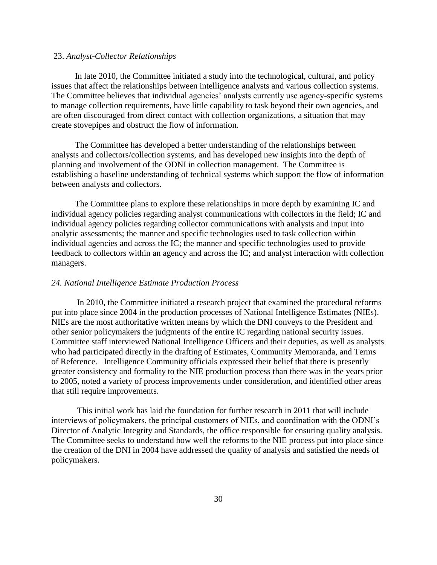#### 23. *Analyst-Collector Relationships*

 In late 2010, the Committee initiated a study into the technological, cultural, and policy issues that affect the relationships between intelligence analysts and various collection systems. The Committee believes that individual agencies' analysts currently use agency-specific systems to manage collection requirements, have little capability to task beyond their own agencies, and are often discouraged from direct contact with collection organizations, a situation that may create stovepipes and obstruct the flow of information.

 The Committee has developed a better understanding of the relationships between analysts and collectors/collection systems, and has developed new insights into the depth of planning and involvement of the ODNI in collection management. The Committee is establishing a baseline understanding of technical systems which support the flow of information between analysts and collectors.

 The Committee plans to explore these relationships in more depth by examining IC and individual agency policies regarding analyst communications with collectors in the field; IC and individual agency policies regarding collector communications with analysts and input into analytic assessments; the manner and specific technologies used to task collection within individual agencies and across the IC; the manner and specific technologies used to provide feedback to collectors within an agency and across the IC; and analyst interaction with collection managers.

#### *24. National Intelligence Estimate Production Process*

In 2010, the Committee initiated a research project that examined the procedural reforms put into place since 2004 in the production processes of National Intelligence Estimates (NIEs). NIEs are the most authoritative written means by which the DNI conveys to the President and other senior policymakers the judgments of the entire IC regarding national security issues. Committee staff interviewed National Intelligence Officers and their deputies, as well as analysts who had participated directly in the drafting of Estimates, Community Memoranda, and Terms of Reference. Intelligence Community officials expressed their belief that there is presently greater consistency and formality to the NIE production process than there was in the years prior to 2005, noted a variety of process improvements under consideration, and identified other areas that still require improvements.

This initial work has laid the foundation for further research in 2011 that will include interviews of policymakers, the principal customers of NIEs, and coordination with the ODNI's Director of Analytic Integrity and Standards, the office responsible for ensuring quality analysis. The Committee seeks to understand how well the reforms to the NIE process put into place since the creation of the DNI in 2004 have addressed the quality of analysis and satisfied the needs of policymakers.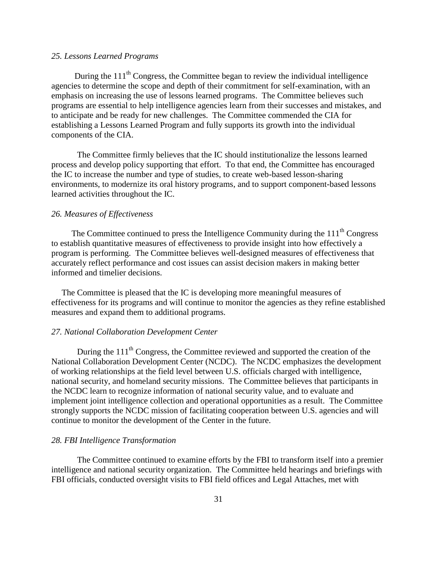## *25. Lessons Learned Programs*

During the  $111<sup>th</sup>$  Congress, the Committee began to review the individual intelligence agencies to determine the scope and depth of their commitment for self-examination, with an emphasis on increasing the use of lessons learned programs. The Committee believes such programs are essential to help intelligence agencies learn from their successes and mistakes, and to anticipate and be ready for new challenges. The Committee commended the CIA for establishing a Lessons Learned Program and fully supports its growth into the individual components of the CIA.

The Committee firmly believes that the IC should institutionalize the lessons learned process and develop policy supporting that effort. To that end, the Committee has encouraged the IC to increase the number and type of studies, to create web-based lesson-sharing environments, to modernize its oral history programs, and to support component-based lessons learned activities throughout the IC.

#### *26. Measures of Effectiveness*

The Committee continued to press the Intelligence Community during the  $111<sup>th</sup>$  Congress to establish quantitative measures of effectiveness to provide insight into how effectively a program is performing. The Committee believes well-designed measures of effectiveness that accurately reflect performance and cost issues can assist decision makers in making better informed and timelier decisions.

The Committee is pleased that the IC is developing more meaningful measures of effectiveness for its programs and will continue to monitor the agencies as they refine established measures and expand them to additional programs.

#### *27. National Collaboration Development Center*

During the  $111<sup>th</sup>$  Congress, the Committee reviewed and supported the creation of the National Collaboration Development Center (NCDC). The NCDC emphasizes the development of working relationships at the field level between U.S. officials charged with intelligence, national security, and homeland security missions. The Committee believes that participants in the NCDC learn to recognize information of national security value, and to evaluate and implement joint intelligence collection and operational opportunities as a result. The Committee strongly supports the NCDC mission of facilitating cooperation between U.S. agencies and will continue to monitor the development of the Center in the future.

#### *28. FBI Intelligence Transformation*

The Committee continued to examine efforts by the FBI to transform itself into a premier intelligence and national security organization. The Committee held hearings and briefings with FBI officials, conducted oversight visits to FBI field offices and Legal Attaches, met with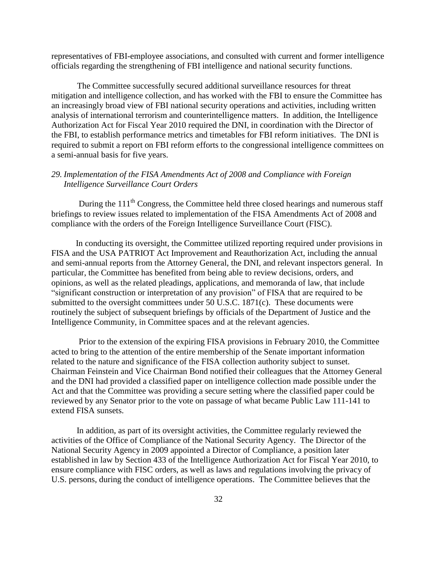representatives of FBI-employee associations, and consulted with current and former intelligence officials regarding the strengthening of FBI intelligence and national security functions.

The Committee successfully secured additional surveillance resources for threat mitigation and intelligence collection, and has worked with the FBI to ensure the Committee has an increasingly broad view of FBI national security operations and activities, including written analysis of international terrorism and counterintelligence matters. In addition, the Intelligence Authorization Act for Fiscal Year 2010 required the DNI, in coordination with the Director of the FBI, to establish performance metrics and timetables for FBI reform initiatives. The DNI is required to submit a report on FBI reform efforts to the congressional intelligence committees on a semi-annual basis for five years.

# *29. Implementation of the FISA Amendments Act of 2008 and Compliance with Foreign Intelligence Surveillance Court Orders*

During the  $111<sup>th</sup>$  Congress, the Committee held three closed hearings and numerous staff briefings to review issues related to implementation of the FISA Amendments Act of 2008 and compliance with the orders of the Foreign Intelligence Surveillance Court (FISC).

 In conducting its oversight, the Committee utilized reporting required under provisions in FISA and the USA PATRIOT Act Improvement and Reauthorization Act, including the annual and semi-annual reports from the Attorney General, the DNI, and relevant inspectors general. In particular, the Committee has benefited from being able to review decisions, orders, and opinions, as well as the related pleadings, applications, and memoranda of law, that include "significant construction or interpretation of any provision" of FISA that are required to be submitted to the oversight committees under 50 U.S.C. 1871(c). These documents were routinely the subject of subsequent briefings by officials of the Department of Justice and the Intelligence Community, in Committee spaces and at the relevant agencies.

 Prior to the extension of the expiring FISA provisions in February 2010, the Committee acted to bring to the attention of the entire membership of the Senate important information related to the nature and significance of the FISA collection authority subject to sunset. Chairman Feinstein and Vice Chairman Bond notified their colleagues that the Attorney General and the DNI had provided a classified paper on intelligence collection made possible under the Act and that the Committee was providing a secure setting where the classified paper could be reviewed by any Senator prior to the vote on passage of what became Public Law 111-141 to extend FISA sunsets.

 In addition, as part of its oversight activities, the Committee regularly reviewed the activities of the Office of Compliance of the National Security Agency. The Director of the National Security Agency in 2009 appointed a Director of Compliance, a position later established in law by Section 433 of the Intelligence Authorization Act for Fiscal Year 2010, to ensure compliance with FISC orders, as well as laws and regulations involving the privacy of U.S. persons, during the conduct of intelligence operations. The Committee believes that the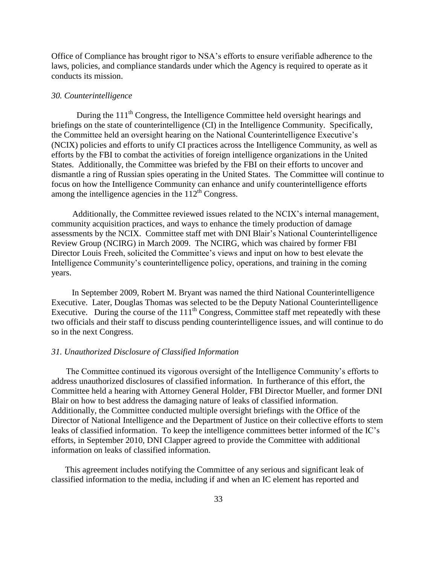Office of Compliance has brought rigor to NSA's efforts to ensure verifiable adherence to the laws, policies, and compliance standards under which the Agency is required to operate as it conducts its mission.

#### *30. Counterintelligence*

During the 111<sup>th</sup> Congress, the Intelligence Committee held oversight hearings and briefings on the state of counterintelligence (CI) in the Intelligence Community. Specifically, the Committee held an oversight hearing on the National Counterintelligence Executive's (NCIX) policies and efforts to unify CI practices across the Intelligence Community, as well as efforts by the FBI to combat the activities of foreign intelligence organizations in the United States. Additionally, the Committee was briefed by the FBI on their efforts to uncover and dismantle a ring of Russian spies operating in the United States. The Committee will continue to focus on how the Intelligence Community can enhance and unify counterintelligence efforts among the intelligence agencies in the  $112<sup>th</sup>$  Congress.

 Additionally, the Committee reviewed issues related to the NCIX's internal management, community acquisition practices, and ways to enhance the timely production of damage assessments by the NCIX. Committee staff met with DNI Blair's National Counterintelligence Review Group (NCIRG) in March 2009. The NCIRG, which was chaired by former FBI Director Louis Freeh, solicited the Committee's views and input on how to best elevate the Intelligence Community's counterintelligence policy, operations, and training in the coming years.

In September 2009, Robert M. Bryant was named the third National Counterintelligence Executive. Later, Douglas Thomas was selected to be the Deputy National Counterintelligence Executive. During the course of the  $111<sup>th</sup>$  Congress, Committee staff met repeatedly with these two officials and their staff to discuss pending counterintelligence issues, and will continue to do so in the next Congress.

#### *31. Unauthorized Disclosure of Classified Information*

 The Committee continued its vigorous oversight of the Intelligence Community's efforts to address unauthorized disclosures of classified information. In furtherance of this effort, the Committee held a hearing with Attorney General Holder, FBI Director Mueller, and former DNI Blair on how to best address the damaging nature of leaks of classified information. Additionally, the Committee conducted multiple oversight briefings with the Office of the Director of National Intelligence and the Department of Justice on their collective efforts to stem leaks of classified information. To keep the intelligence committees better informed of the IC's efforts, in September 2010, DNI Clapper agreed to provide the Committee with additional information on leaks of classified information.

 This agreement includes notifying the Committee of any serious and significant leak of classified information to the media, including if and when an IC element has reported and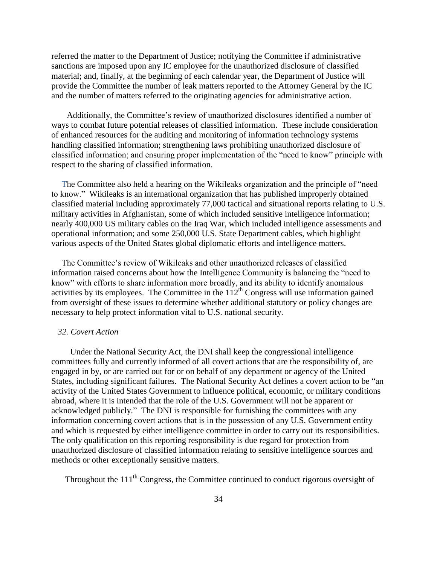referred the matter to the Department of Justice; notifying the Committee if administrative sanctions are imposed upon any IC employee for the unauthorized disclosure of classified material; and, finally, at the beginning of each calendar year, the Department of Justice will provide the Committee the number of leak matters reported to the Attorney General by the IC and the number of matters referred to the originating agencies for administrative action.

Additionally, the Committee's review of unauthorized disclosures identified a number of ways to combat future potential releases of classified information. These include consideration of enhanced resources for the auditing and monitoring of information technology systems handling classified information; strengthening laws prohibiting unauthorized disclosure of classified information; and ensuring proper implementation of the "need to know" principle with respect to the sharing of classified information.

The Committee also held a hearing on the Wikileaks organization and the principle of "need" to know.‖ Wikileaks is an international organization that has published improperly obtained classified material including approximately 77,000 tactical and situational reports relating to U.S. military activities in Afghanistan, some of which included sensitive intelligence information; nearly 400,000 US military cables on the Iraq War, which included intelligence assessments and operational information; and some 250,000 U.S. State Department cables, which highlight various aspects of the United States global diplomatic efforts and intelligence matters.

The Committee's review of Wikileaks and other unauthorized releases of classified information raised concerns about how the Intelligence Community is balancing the "need to know" with efforts to share information more broadly, and its ability to identify anomalous activities by its employees. The Committee in the  $112^{th}$  Congress will use information gained from oversight of these issues to determine whether additional statutory or policy changes are necessary to help protect information vital to U.S. national security.

#### *32. Covert Action*

 Under the National Security Act, the DNI shall keep the congressional intelligence committees fully and currently informed of all covert actions that are the responsibility of, are engaged in by, or are carried out for or on behalf of any department or agency of the United States, including significant failures. The National Security Act defines a covert action to be "an activity of the United States Government to influence political, economic, or military conditions abroad, where it is intended that the role of the U.S. Government will not be apparent or acknowledged publicly." The DNI is responsible for furnishing the committees with any information concerning covert actions that is in the possession of any U.S. Government entity and which is requested by either intelligence committee in order to carry out its responsibilities. The only qualification on this reporting responsibility is due regard for protection from unauthorized disclosure of classified information relating to sensitive intelligence sources and methods or other exceptionally sensitive matters.

Throughout the  $111<sup>th</sup>$  Congress, the Committee continued to conduct rigorous oversight of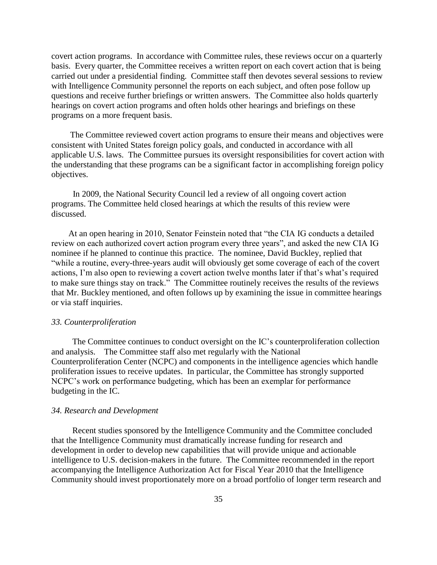covert action programs. In accordance with Committee rules, these reviews occur on a quarterly basis. Every quarter, the Committee receives a written report on each covert action that is being carried out under a presidential finding. Committee staff then devotes several sessions to review with Intelligence Community personnel the reports on each subject, and often pose follow up questions and receive further briefings or written answers. The Committee also holds quarterly hearings on covert action programs and often holds other hearings and briefings on these programs on a more frequent basis.

 The Committee reviewed covert action programs to ensure their means and objectives were consistent with United States foreign policy goals, and conducted in accordance with all applicable U.S. laws. The Committee pursues its oversight responsibilities for covert action with the understanding that these programs can be a significant factor in accomplishing foreign policy objectives.

 In 2009, the National Security Council led a review of all ongoing covert action programs. The Committee held closed hearings at which the results of this review were discussed.

At an open hearing in 2010, Senator Feinstein noted that "the CIA IG conducts a detailed review on each authorized covert action program every three years", and asked the new CIA IG nominee if he planned to continue this practice. The nominee, David Buckley, replied that ―while a routine, every-three-years audit will obviously get some coverage of each of the covert actions, I'm also open to reviewing a covert action twelve months later if that's what's required to make sure things stay on track." The Committee routinely receives the results of the reviews that Mr. Buckley mentioned, and often follows up by examining the issue in committee hearings or via staff inquiries.

#### *33. Counterproliferation*

 The Committee continues to conduct oversight on the IC's counterproliferation collection and analysis. The Committee staff also met regularly with the National Counterproliferation Center (NCPC) and components in the intelligence agencies which handle proliferation issues to receive updates. In particular, the Committee has strongly supported NCPC's work on performance budgeting, which has been an exemplar for performance budgeting in the IC.

#### *34. Research and Development*

 Recent studies sponsored by the Intelligence Community and the Committee concluded that the Intelligence Community must dramatically increase funding for research and development in order to develop new capabilities that will provide unique and actionable intelligence to U.S. decision-makers in the future. The Committee recommended in the report accompanying the Intelligence Authorization Act for Fiscal Year 2010 that the Intelligence Community should invest proportionately more on a broad portfolio of longer term research and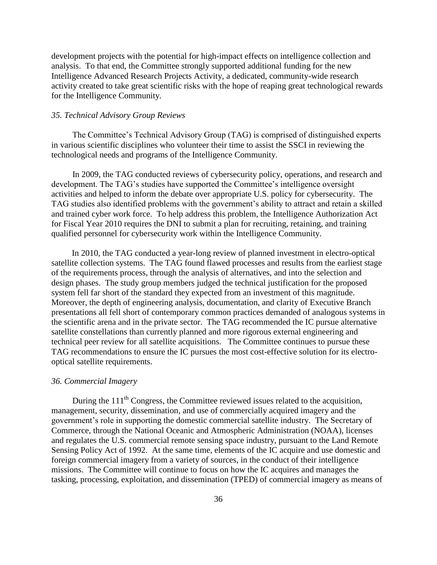development projects with the potential for high-impact effects on intelligence collection and analysis. To that end, the Committee strongly supported additional funding for the new Intelligence Advanced Research Projects Activity, a dedicated, community-wide research activity created to take great scientific risks with the hope of reaping great technological rewards for the Intelligence Community.

#### *35. Technical Advisory Group Reviews*

 The Committee's Technical Advisory Group (TAG) is comprised of distinguished experts in various scientific disciplines who volunteer their time to assist the SSCI in reviewing the technological needs and programs of the Intelligence Community.

 In 2009, the TAG conducted reviews of cybersecurity policy, operations, and research and development. The TAG's studies have supported the Committee's intelligence oversight activities and helped to inform the debate over appropriate U.S. policy for cybersecurity. The TAG studies also identified problems with the government's ability to attract and retain a skilled and trained cyber work force. To help address this problem, the Intelligence Authorization Act for Fiscal Year 2010 requires the DNI to submit a plan for recruiting, retaining, and training qualified personnel for cybersecurity work within the Intelligence Community.

 In 2010, the TAG conducted a year-long review of planned investment in electro-optical satellite collection systems. The TAG found flawed processes and results from the earliest stage of the requirements process, through the analysis of alternatives, and into the selection and design phases. The study group members judged the technical justification for the proposed system fell far short of the standard they expected from an investment of this magnitude. Moreover, the depth of engineering analysis, documentation, and clarity of Executive Branch presentations all fell short of contemporary common practices demanded of analogous systems in the scientific arena and in the private sector. The TAG recommended the IC pursue alternative satellite constellations than currently planned and more rigorous external engineering and technical peer review for all satellite acquisitions. The Committee continues to pursue these TAG recommendations to ensure the IC pursues the most cost-effective solution for its electrooptical satellite requirements.

#### *36. Commercial Imagery*

During the  $111<sup>th</sup>$  Congress, the Committee reviewed issues related to the acquisition, management, security, dissemination, and use of commercially acquired imagery and the government's role in supporting the domestic commercial satellite industry. The Secretary of Commerce, through the National Oceanic and Atmospheric Administration (NOAA), licenses and regulates the U.S. commercial remote sensing space industry, pursuant to the Land Remote Sensing Policy Act of 1992. At the same time, elements of the IC acquire and use domestic and foreign commercial imagery from a variety of sources, in the conduct of their intelligence missions. The Committee will continue to focus on how the IC acquires and manages the tasking, processing, exploitation, and dissemination (TPED) of commercial imagery as means of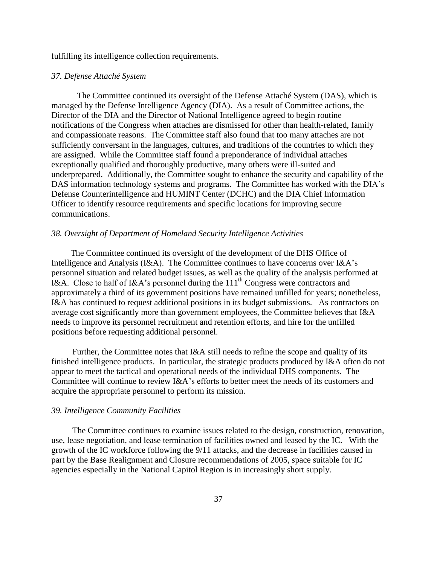fulfilling its intelligence collection requirements.

#### *37. Defense Attaché System*

The Committee continued its oversight of the Defense Attaché System (DAS), which is managed by the Defense Intelligence Agency (DIA). As a result of Committee actions, the Director of the DIA and the Director of National Intelligence agreed to begin routine notifications of the Congress when attaches are dismissed for other than health-related, family and compassionate reasons. The Committee staff also found that too many attaches are not sufficiently conversant in the languages, cultures, and traditions of the countries to which they are assigned. While the Committee staff found a preponderance of individual attaches exceptionally qualified and thoroughly productive, many others were ill-suited and underprepared. Additionally, the Committee sought to enhance the security and capability of the DAS information technology systems and programs. The Committee has worked with the DIA's Defense Counterintelligence and HUMINT Center (DCHC) and the DIA Chief Information Officer to identify resource requirements and specific locations for improving secure communications.

#### *38. Oversight of Department of Homeland Security Intelligence Activities*

The Committee continued its oversight of the development of the DHS Office of Intelligence and Analysis (I&A). The Committee continues to have concerns over I&A's personnel situation and related budget issues, as well as the quality of the analysis performed at I&A. Close to half of I&A's personnel during the  $111<sup>th</sup>$  Congress were contractors and approximately a third of its government positions have remained unfilled for years; nonetheless, I&A has continued to request additional positions in its budget submissions. As contractors on average cost significantly more than government employees, the Committee believes that I&A needs to improve its personnel recruitment and retention efforts, and hire for the unfilled positions before requesting additional personnel.

 Further, the Committee notes that I&A still needs to refine the scope and quality of its finished intelligence products. In particular, the strategic products produced by I&A often do not appear to meet the tactical and operational needs of the individual DHS components. The Committee will continue to review I&A's efforts to better meet the needs of its customers and acquire the appropriate personnel to perform its mission.

#### *39. Intelligence Community Facilities*

 The Committee continues to examine issues related to the design, construction, renovation, use, lease negotiation, and lease termination of facilities owned and leased by the IC. With the growth of the IC workforce following the 9/11 attacks, and the decrease in facilities caused in part by the Base Realignment and Closure recommendations of 2005, space suitable for IC agencies especially in the National Capitol Region is in increasingly short supply.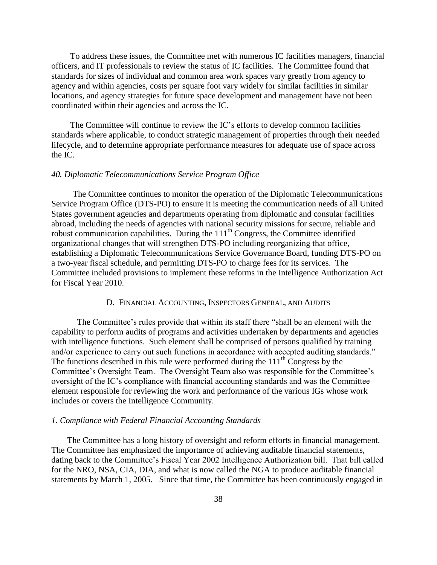To address these issues, the Committee met with numerous IC facilities managers, financial officers, and IT professionals to review the status of IC facilities. The Committee found that standards for sizes of individual and common area work spaces vary greatly from agency to agency and within agencies, costs per square foot vary widely for similar facilities in similar locations, and agency strategies for future space development and management have not been coordinated within their agencies and across the IC.

 The Committee will continue to review the IC's efforts to develop common facilities standards where applicable, to conduct strategic management of properties through their needed lifecycle, and to determine appropriate performance measures for adequate use of space across the IC.

#### *40. Diplomatic Telecommunications Service Program Office*

 The Committee continues to monitor the operation of the Diplomatic Telecommunications Service Program Office (DTS-PO) to ensure it is meeting the communication needs of all United States government agencies and departments operating from diplomatic and consular facilities abroad, including the needs of agencies with national security missions for secure, reliable and robust communication capabilities. During the 111<sup>th</sup> Congress, the Committee identified organizational changes that will strengthen DTS-PO including reorganizing that office, establishing a Diplomatic Telecommunications Service Governance Board, funding DTS-PO on a two-year fiscal schedule, and permitting DTS-PO to charge fees for its services. The Committee included provisions to implement these reforms in the Intelligence Authorization Act for Fiscal Year 2010.

## D. FINANCIAL ACCOUNTING, INSPECTORS GENERAL, AND AUDITS

The Committee's rules provide that within its staff there "shall be an element with the capability to perform audits of programs and activities undertaken by departments and agencies with intelligence functions. Such element shall be comprised of persons qualified by training and/or experience to carry out such functions in accordance with accepted auditing standards." The functions described in this rule were performed during the  $111<sup>th</sup>$  Congress by the Committee's Oversight Team. The Oversight Team also was responsible for the Committee's oversight of the IC's compliance with financial accounting standards and was the Committee element responsible for reviewing the work and performance of the various IGs whose work includes or covers the Intelligence Community.

#### *1. Compliance with Federal Financial Accounting Standards*

 The Committee has a long history of oversight and reform efforts in financial management. The Committee has emphasized the importance of achieving auditable financial statements, dating back to the Committee's Fiscal Year 2002 Intelligence Authorization bill. That bill called for the NRO, NSA, CIA, DIA, and what is now called the NGA to produce auditable financial statements by March 1, 2005. Since that time, the Committee has been continuously engaged in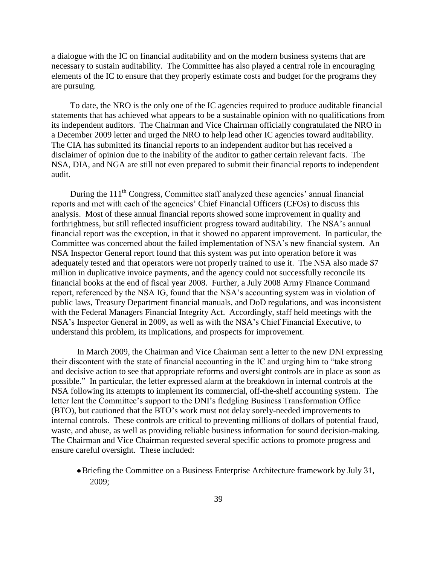a dialogue with the IC on financial auditability and on the modern business systems that are necessary to sustain auditability. The Committee has also played a central role in encouraging elements of the IC to ensure that they properly estimate costs and budget for the programs they are pursuing.

 To date, the NRO is the only one of the IC agencies required to produce auditable financial statements that has achieved what appears to be a sustainable opinion with no qualifications from its independent auditors. The Chairman and Vice Chairman officially congratulated the NRO in a December 2009 letter and urged the NRO to help lead other IC agencies toward auditability. The CIA has submitted its financial reports to an independent auditor but has received a disclaimer of opinion due to the inability of the auditor to gather certain relevant facts. The NSA, DIA, and NGA are still not even prepared to submit their financial reports to independent audit.

During the 111<sup>th</sup> Congress, Committee staff analyzed these agencies' annual financial reports and met with each of the agencies' Chief Financial Officers (CFOs) to discuss this analysis. Most of these annual financial reports showed some improvement in quality and forthrightness, but still reflected insufficient progress toward auditability. The NSA's annual financial report was the exception, in that it showed no apparent improvement. In particular, the Committee was concerned about the failed implementation of NSA's new financial system. An NSA Inspector General report found that this system was put into operation before it was adequately tested and that operators were not properly trained to use it. The NSA also made \$7 million in duplicative invoice payments, and the agency could not successfully reconcile its financial books at the end of fiscal year 2008. Further, a July 2008 Army Finance Command report, referenced by the NSA IG, found that the NSA's accounting system was in violation of public laws, Treasury Department financial manuals, and DoD regulations, and was inconsistent with the Federal Managers Financial Integrity Act. Accordingly, staff held meetings with the NSA's Inspector General in 2009, as well as with the NSA's Chief Financial Executive, to understand this problem, its implications, and prospects for improvement.

In March 2009, the Chairman and Vice Chairman sent a letter to the new DNI expressing their discontent with the state of financial accounting in the IC and urging him to "take strong" and decisive action to see that appropriate reforms and oversight controls are in place as soon as possible.‖ In particular, the letter expressed alarm at the breakdown in internal controls at the NSA following its attempts to implement its commercial, off-the-shelf accounting system. The letter lent the Committee's support to the DNI's fledgling Business Transformation Office (BTO), but cautioned that the BTO's work must not delay sorely-needed improvements to internal controls. These controls are critical to preventing millions of dollars of potential fraud, waste, and abuse, as well as providing reliable business information for sound decision-making. The Chairman and Vice Chairman requested several specific actions to promote progress and ensure careful oversight. These included:

Briefing the Committee on a Business Enterprise Architecture framework by July 31, 2009;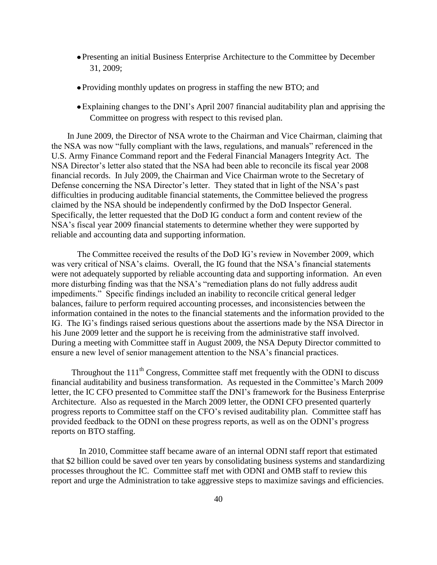- Presenting an initial Business Enterprise Architecture to the Committee by December 31, 2009;
- Providing monthly updates on progress in staffing the new BTO; and
- Explaining changes to the DNI's April 2007 financial auditability plan and apprising the Committee on progress with respect to this revised plan.

 In June 2009, the Director of NSA wrote to the Chairman and Vice Chairman, claiming that the NSA was now "fully compliant with the laws, regulations, and manuals" referenced in the U.S. Army Finance Command report and the Federal Financial Managers Integrity Act. The NSA Director's letter also stated that the NSA had been able to reconcile its fiscal year 2008 financial records. In July 2009, the Chairman and Vice Chairman wrote to the Secretary of Defense concerning the NSA Director's letter. They stated that in light of the NSA's past difficulties in producing auditable financial statements, the Committee believed the progress claimed by the NSA should be independently confirmed by the DoD Inspector General. Specifically, the letter requested that the DoD IG conduct a form and content review of the NSA's fiscal year 2009 financial statements to determine whether they were supported by reliable and accounting data and supporting information.

The Committee received the results of the DoD IG's review in November 2009, which was very critical of NSA's claims. Overall, the IG found that the NSA's financial statements were not adequately supported by reliable accounting data and supporting information. An even more disturbing finding was that the NSA's "remediation plans do not fully address audit impediments." Specific findings included an inability to reconcile critical general ledger balances, failure to perform required accounting processes, and inconsistencies between the information contained in the notes to the financial statements and the information provided to the IG. The IG's findings raised serious questions about the assertions made by the NSA Director in his June 2009 letter and the support he is receiving from the administrative staff involved. During a meeting with Committee staff in August 2009, the NSA Deputy Director committed to ensure a new level of senior management attention to the NSA's financial practices.

Throughout the  $111<sup>th</sup>$  Congress, Committee staff met frequently with the ODNI to discuss financial auditability and business transformation. As requested in the Committee's March 2009 letter, the IC CFO presented to Committee staff the DNI's framework for the Business Enterprise Architecture. Also as requested in the March 2009 letter, the ODNI CFO presented quarterly progress reports to Committee staff on the CFO's revised auditability plan. Committee staff has provided feedback to the ODNI on these progress reports, as well as on the ODNI's progress reports on BTO staffing.

In 2010, Committee staff became aware of an internal ODNI staff report that estimated that \$2 billion could be saved over ten years by consolidating business systems and standardizing processes throughout the IC. Committee staff met with ODNI and OMB staff to review this report and urge the Administration to take aggressive steps to maximize savings and efficiencies.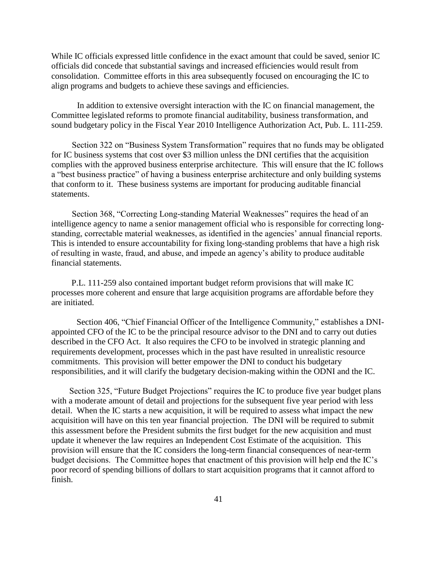While IC officials expressed little confidence in the exact amount that could be saved, senior IC officials did concede that substantial savings and increased efficiencies would result from consolidation. Committee efforts in this area subsequently focused on encouraging the IC to align programs and budgets to achieve these savings and efficiencies.

In addition to extensive oversight interaction with the IC on financial management, the Committee legislated reforms to promote financial auditability, business transformation, and sound budgetary policy in the Fiscal Year 2010 Intelligence Authorization Act, Pub. L. 111-259.

Section 322 on "Business System Transformation" requires that no funds may be obligated for IC business systems that cost over \$3 million unless the DNI certifies that the acquisition complies with the approved business enterprise architecture. This will ensure that the IC follows a "best business practice" of having a business enterprise architecture and only building systems that conform to it. These business systems are important for producing auditable financial statements.

Section 368, "Correcting Long-standing Material Weaknesses" requires the head of an intelligence agency to name a senior management official who is responsible for correcting longstanding, correctable material weaknesses, as identified in the agencies' annual financial reports. This is intended to ensure accountability for fixing long-standing problems that have a high risk of resulting in waste, fraud, and abuse, and impede an agency's ability to produce auditable financial statements.

 P.L. 111-259 also contained important budget reform provisions that will make IC processes more coherent and ensure that large acquisition programs are affordable before they are initiated.

Section 406, "Chief Financial Officer of the Intelligence Community," establishes a DNIappointed CFO of the IC to be the principal resource advisor to the DNI and to carry out duties described in the CFO Act. It also requires the CFO to be involved in strategic planning and requirements development, processes which in the past have resulted in unrealistic resource commitments. This provision will better empower the DNI to conduct his budgetary responsibilities, and it will clarify the budgetary decision-making within the ODNI and the IC.

Section 325, "Future Budget Projections" requires the IC to produce five year budget plans with a moderate amount of detail and projections for the subsequent five year period with less detail. When the IC starts a new acquisition, it will be required to assess what impact the new acquisition will have on this ten year financial projection. The DNI will be required to submit this assessment before the President submits the first budget for the new acquisition and must update it whenever the law requires an Independent Cost Estimate of the acquisition. This provision will ensure that the IC considers the long-term financial consequences of near-term budget decisions. The Committee hopes that enactment of this provision will help end the IC's poor record of spending billions of dollars to start acquisition programs that it cannot afford to finish.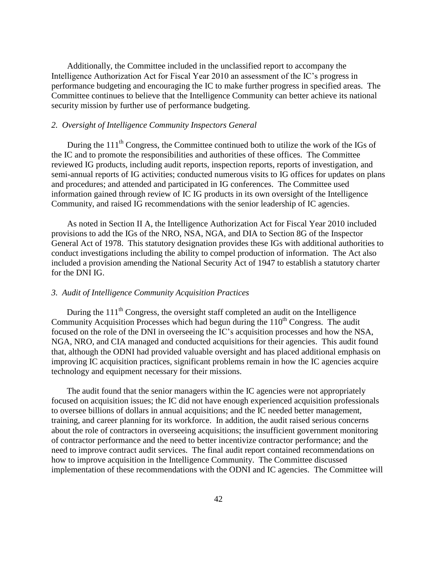Additionally, the Committee included in the unclassified report to accompany the Intelligence Authorization Act for Fiscal Year 2010 an assessment of the IC's progress in performance budgeting and encouraging the IC to make further progress in specified areas. The Committee continues to believe that the Intelligence Community can better achieve its national security mission by further use of performance budgeting.

#### *2. Oversight of Intelligence Community Inspectors General*

During the 111<sup>th</sup> Congress, the Committee continued both to utilize the work of the IGs of the IC and to promote the responsibilities and authorities of these offices. The Committee reviewed IG products, including audit reports, inspection reports, reports of investigation, and semi-annual reports of IG activities; conducted numerous visits to IG offices for updates on plans and procedures; and attended and participated in IG conferences. The Committee used information gained through review of IC IG products in its own oversight of the Intelligence Community, and raised IG recommendations with the senior leadership of IC agencies.

 As noted in Section II A, the Intelligence Authorization Act for Fiscal Year 2010 included provisions to add the IGs of the NRO, NSA, NGA, and DIA to Section 8G of the Inspector General Act of 1978. This statutory designation provides these IGs with additional authorities to conduct investigations including the ability to compel production of information. The Act also included a provision amending the National Security Act of 1947 to establish a statutory charter for the DNI IG.

#### *3. Audit of Intelligence Community Acquisition Practices*

During the  $111<sup>th</sup>$  Congress, the oversight staff completed an audit on the Intelligence Community Acquisition Processes which had begun during the  $110<sup>th</sup>$  Congress. The audit focused on the role of the DNI in overseeing the IC's acquisition processes and how the NSA, NGA, NRO, and CIA managed and conducted acquisitions for their agencies. This audit found that, although the ODNI had provided valuable oversight and has placed additional emphasis on improving IC acquisition practices, significant problems remain in how the IC agencies acquire technology and equipment necessary for their missions.

The audit found that the senior managers within the IC agencies were not appropriately focused on acquisition issues; the IC did not have enough experienced acquisition professionals to oversee billions of dollars in annual acquisitions; and the IC needed better management, training, and career planning for its workforce. In addition, the audit raised serious concerns about the role of contractors in overseeing acquisitions; the insufficient government monitoring of contractor performance and the need to better incentivize contractor performance; and the need to improve contract audit services. The final audit report contained recommendations on how to improve acquisition in the Intelligence Community. The Committee discussed implementation of these recommendations with the ODNI and IC agencies. The Committee will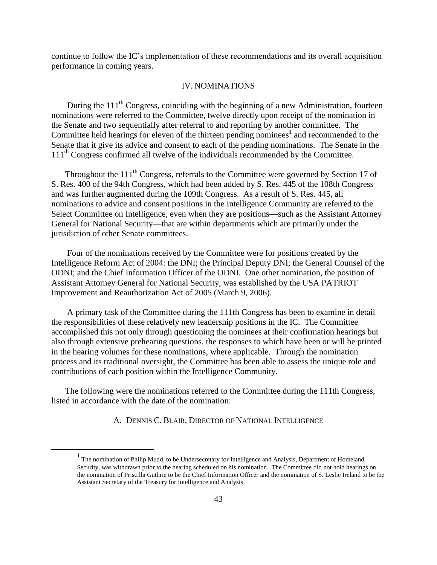continue to follow the IC's implementation of these recommendations and its overall acquisition performance in coming years.

#### IV. NOMINATIONS

During the 111<sup>th</sup> Congress, coinciding with the beginning of a new Administration, fourteen nominations were referred to the Committee, twelve directly upon receipt of the nomination in the Senate and two sequentially after referral to and reporting by another committee. The Committee held hearings for eleven of the thirteen pending nominees<sup>1</sup> and recommended to the Senate that it give its advice and consent to each of the pending nominations. The Senate in the 111<sup>th</sup> Congress confirmed all twelve of the individuals recommended by the Committee.

Throughout the 111<sup>th</sup> Congress, referrals to the Committee were governed by Section 17 of S. Res. 400 of the 94th Congress, which had been added by S. Res. 445 of the 108th Congress and was further augmented during the 109th Congress. As a result of S. Res. 445, all nominations to advice and consent positions in the Intelligence Community are referred to the Select Committee on Intelligence, even when they are positions—such as the Assistant Attorney General for National Security—that are within departments which are primarily under the jurisdiction of other Senate committees.

 Four of the nominations received by the Committee were for positions created by the Intelligence Reform Act of 2004: the DNI; the Principal Deputy DNI; the General Counsel of the ODNI; and the Chief Information Officer of the ODNI. One other nomination, the position of Assistant Attorney General for National Security, was established by the USA PATRIOT Improvement and Reauthorization Act of 2005 (March 9, 2006).

 A primary task of the Committee during the 111th Congress has been to examine in detail the responsibilities of these relatively new leadership positions in the IC. The Committee accomplished this not only through questioning the nominees at their confirmation hearings but also through extensive prehearing questions, the responses to which have been or will be printed in the hearing volumes for these nominations, where applicable. Through the nomination process and its traditional oversight, the Committee has been able to assess the unique role and contributions of each position within the Intelligence Community.

 The following were the nominations referred to the Committee during the 111th Congress, listed in accordance with the date of the nomination:

A. DENNIS C. BLAIR, DIRECTOR OF NATIONAL INTELLIGENCE

 $\overline{a}$ 

 $<sup>1</sup>$  The nomination of Philip Mudd, to be Undersecretary for Intelligence and Analysis, Department of Homeland</sup> Security, was withdrawn prior to the hearing scheduled on his nomination. The Committee did not hold hearings on the nomination of Priscilla Guthrie to be the Chief Information Officer and the nomination of S. Leslie Ireland to be the Assistant Secretary of the Treasury for Intelligence and Analysis.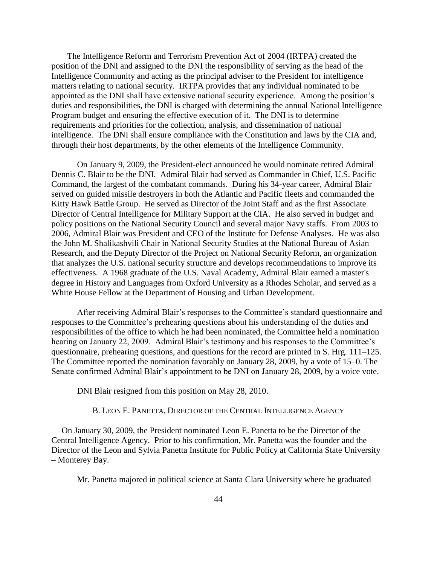The Intelligence Reform and Terrorism Prevention Act of 2004 (IRTPA) created the position of the DNI and assigned to the DNI the responsibility of serving as the head of the Intelligence Community and acting as the principal adviser to the President for intelligence matters relating to national security. IRTPA provides that any individual nominated to be appointed as the DNI shall have extensive national security experience. Among the position's duties and responsibilities, the DNI is charged with determining the annual National Intelligence Program budget and ensuring the effective execution of it. The DNI is to determine requirements and priorities for the collection, analysis, and dissemination of national intelligence. The DNI shall ensure compliance with the Constitution and laws by the CIA and, through their host departments, by the other elements of the Intelligence Community.

On January 9, 2009, the President-elect announced he would nominate retired Admiral Dennis C. Blair to be the DNI. Admiral Blair had served as Commander in Chief, U.S. Pacific Command, the largest of the combatant commands. During his 34-year career, Admiral Blair served on guided missile destroyers in both the Atlantic and Pacific fleets and commanded the Kitty Hawk Battle Group. He served as Director of the Joint Staff and as the first Associate Director of Central Intelligence for Military Support at the CIA. He also served in budget and policy positions on the National Security Council and several major Navy staffs. From 2003 to 2006, Admiral Blair was President and CEO of the Institute for Defense Analyses. He was also the John M. Shalikashvili Chair in National Security Studies at the National Bureau of Asian Research, and the Deputy Director of the Project on National Security Reform, an organization that analyzes the U.S. national security structure and develops recommendations to improve its effectiveness. A 1968 graduate of the U.S. Naval Academy, Admiral Blair earned a master's degree in History and Languages from Oxford University as a Rhodes Scholar, and served as a White House Fellow at the Department of Housing and Urban Development.

After receiving Admiral Blair's responses to the Committee's standard questionnaire and responses to the Committee's prehearing questions about his understanding of the duties and responsibilities of the office to which he had been nominated, the Committee held a nomination hearing on January 22, 2009. Admiral Blair's testimony and his responses to the Committee's questionnaire, prehearing questions, and questions for the record are printed in S. Hrg. 111–125. The Committee reported the nomination favorably on January 28, 2009, by a vote of 15–0. The Senate confirmed Admiral Blair's appointment to be DNI on January 28, 2009, by a voice vote.

DNI Blair resigned from this position on May 28, 2010.

#### B. LEON E. PANETTA, DIRECTOR OF THE CENTRAL INTELLIGENCE AGENCY

On January 30, 2009, the President nominated Leon E. Panetta to be the Director of the Central Intelligence Agency. Prior to his confirmation, Mr. Panetta was the founder and the Director of the Leon and Sylvia Panetta Institute for Public Policy at California State University – Monterey Bay.

Mr. Panetta majored in political science at Santa Clara University where he graduated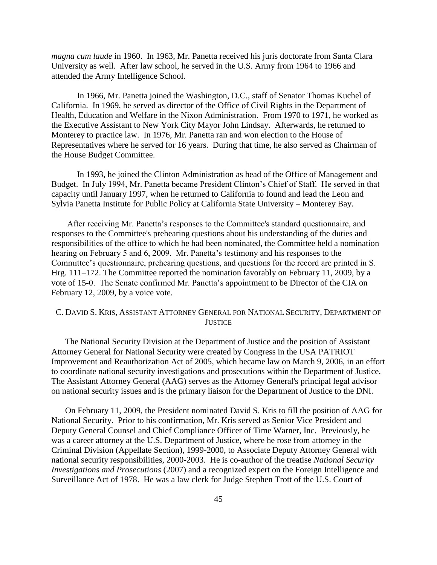*magna cum laude* in 1960. In 1963, Mr. Panetta received his juris doctorate from Santa Clara University as well. After law school, he served in the U.S. Army from 1964 to 1966 and attended the Army Intelligence School.

In 1966, Mr. Panetta joined the Washington, D.C., staff of Senator Thomas Kuchel of California. In 1969, he served as director of the Office of Civil Rights in the Department of Health, Education and Welfare in the Nixon Administration. From 1970 to 1971, he worked as the Executive Assistant to New York City Mayor John Lindsay. Afterwards, he returned to Monterey to practice law. In 1976, Mr. Panetta ran and won election to the House of Representatives where he served for 16 years. During that time, he also served as Chairman of the House Budget Committee.

In 1993, he joined the Clinton Administration as head of the Office of Management and Budget. In July 1994, Mr. Panetta became President Clinton's Chief of Staff. He served in that capacity until January 1997, when he returned to California to found and lead the Leon and Sylvia Panetta Institute for Public Policy at California State University – Monterey Bay.

 After receiving Mr. Panetta's responses to the Committee's standard questionnaire, and responses to the Committee's prehearing questions about his understanding of the duties and responsibilities of the office to which he had been nominated, the Committee held a nomination hearing on February 5 and 6, 2009. Mr. Panetta's testimony and his responses to the Committee's questionnaire, prehearing questions, and questions for the record are printed in S. Hrg. 111–172. The Committee reported the nomination favorably on February 11, 2009, by a vote of 15-0. The Senate confirmed Mr. Panetta's appointment to be Director of the CIA on February 12, 2009, by a voice vote.

# C. DAVID S. KRIS, ASSISTANT ATTORNEY GENERAL FOR NATIONAL SECURITY, DEPARTMENT OF **JUSTICE**

 The National Security Division at the Department of Justice and the position of Assistant Attorney General for National Security were created by Congress in the USA PATRIOT Improvement and Reauthorization Act of 2005, which became law on March 9, 2006, in an effort to coordinate national security investigations and prosecutions within the Department of Justice. The Assistant Attorney General (AAG) serves as the Attorney General's principal legal advisor on national security issues and is the primary liaison for the Department of Justice to the DNI.

 On February 11, 2009, the President nominated David S. Kris to fill the position of AAG for National Security. Prior to his confirmation, Mr. Kris served as Senior Vice President and Deputy General Counsel and Chief Compliance Officer of Time Warner, Inc. Previously, he was a career attorney at the U.S. Department of Justice, where he rose from attorney in the Criminal Division (Appellate Section), 1999-2000, to Associate Deputy Attorney General with national security responsibilities, 2000-2003. He is co-author of the treatise *National Security Investigations and Prosecutions* (2007) and a recognized expert on the Foreign Intelligence and Surveillance Act of 1978. He was a law clerk for Judge Stephen Trott of the U.S. Court of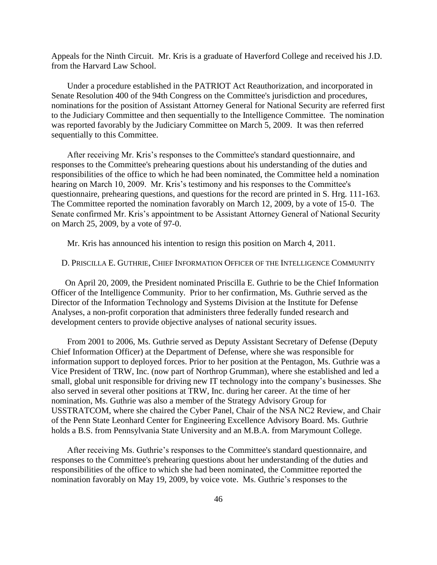Appeals for the Ninth Circuit. Mr. Kris is a graduate of Haverford College and received his J.D. from the Harvard Law School.

 Under a procedure established in the PATRIOT Act Reauthorization, and incorporated in Senate Resolution 400 of the 94th Congress on the Committee's jurisdiction and procedures, nominations for the position of Assistant Attorney General for National Security are referred first to the Judiciary Committee and then sequentially to the Intelligence Committee. The nomination was reported favorably by the Judiciary Committee on March 5, 2009. It was then referred sequentially to this Committee.

 After receiving Mr. Kris's responses to the Committee's standard questionnaire, and responses to the Committee's prehearing questions about his understanding of the duties and responsibilities of the office to which he had been nominated, the Committee held a nomination hearing on March 10, 2009. Mr. Kris's testimony and his responses to the Committee's questionnaire, prehearing questions, and questions for the record are printed in S. Hrg. 111-163. The Committee reported the nomination favorably on March 12, 2009, by a vote of 15-0. The Senate confirmed Mr. Kris's appointment to be Assistant Attorney General of National Security on March 25, 2009, by a vote of 97-0.

Mr. Kris has announced his intention to resign this position on March 4, 2011.

D. PRISCILLA E. GUTHRIE, CHIEF INFORMATION OFFICER OF THE INTELLIGENCE COMMUNITY

 On April 20, 2009, the President nominated Priscilla E. Guthrie to be the Chief Information Officer of the Intelligence Community. Prior to her confirmation, Ms. Guthrie served as the Director of the Information Technology and Systems Division at the Institute for Defense Analyses, a non-profit corporation that administers three federally funded research and development centers to provide objective analyses of national security issues.

 From 2001 to 2006, Ms. Guthrie served as Deputy Assistant Secretary of Defense (Deputy Chief Information Officer) at the Department of Defense, where she was responsible for information support to deployed forces. Prior to her position at the Pentagon, Ms. Guthrie was a Vice President of TRW, Inc. (now part of Northrop Grumman), where she established and led a small, global unit responsible for driving new IT technology into the company's businesses. She also served in several other positions at TRW, Inc. during her career. At the time of her nomination, Ms. Guthrie was also a member of the Strategy Advisory Group for USSTRATCOM, where she chaired the Cyber Panel, Chair of the NSA NC2 Review, and Chair of the Penn State Leonhard Center for Engineering Excellence Advisory Board. Ms. Guthrie holds a B.S. from Pennsylvania State University and an M.B.A. from Marymount College.

 After receiving Ms. Guthrie's responses to the Committee's standard questionnaire, and responses to the Committee's prehearing questions about her understanding of the duties and responsibilities of the office to which she had been nominated, the Committee reported the nomination favorably on May 19, 2009, by voice vote. Ms. Guthrie's responses to the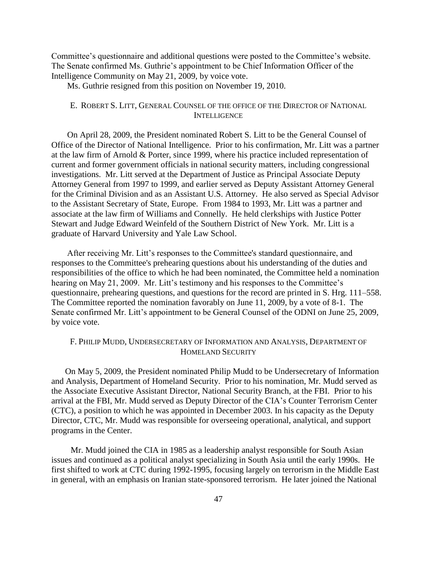Committee's questionnaire and additional questions were posted to the Committee's website. The Senate confirmed Ms. Guthrie's appointment to be Chief Information Officer of the Intelligence Community on May 21, 2009, by voice vote.

Ms. Guthrie resigned from this position on November 19, 2010.

# E. ROBERT S. LITT, GENERAL COUNSEL OF THE OFFICE OF THE DIRECTOR OF NATIONAL **INTELLIGENCE**

 On April 28, 2009, the President nominated Robert S. Litt to be the General Counsel of Office of the Director of National Intelligence. Prior to his confirmation, Mr. Litt was a partner at the law firm of Arnold & Porter, since 1999, where his practice included representation of current and former government officials in national security matters, including congressional investigations. Mr. Litt served at the Department of Justice as Principal Associate Deputy Attorney General from 1997 to 1999, and earlier served as Deputy Assistant Attorney General for the Criminal Division and as an Assistant U.S. Attorney. He also served as Special Advisor to the Assistant Secretary of State, Europe. From 1984 to 1993, Mr. Litt was a partner and associate at the law firm of Williams and Connelly. He held clerkships with Justice Potter Stewart and Judge Edward Weinfeld of the Southern District of New York. Mr. Litt is a graduate of Harvard University and Yale Law School.

 After receiving Mr. Litt's responses to the Committee's standard questionnaire, and responses to the Committee's prehearing questions about his understanding of the duties and responsibilities of the office to which he had been nominated, the Committee held a nomination hearing on May 21, 2009. Mr. Litt's testimony and his responses to the Committee's questionnaire, prehearing questions, and questions for the record are printed in S. Hrg. 111–558. The Committee reported the nomination favorably on June 11, 2009, by a vote of 8-1. The Senate confirmed Mr. Litt's appointment to be General Counsel of the ODNI on June 25, 2009, by voice vote.

# F. PHILIP MUDD, UNDERSECRETARY OF INFORMATION AND ANALYSIS, DEPARTMENT OF HOMELAND SECURITY

 On May 5, 2009, the President nominated Philip Mudd to be Undersecretary of Information and Analysis, Department of Homeland Security. Prior to his nomination, Mr. Mudd served as the Associate Executive Assistant Director, National Security Branch, at the FBI. Prior to his arrival at the FBI, Mr. Mudd served as Deputy Director of the CIA's Counter Terrorism Center (CTC), a position to which he was appointed in December 2003. In his capacity as the Deputy Director, CTC, Mr. Mudd was responsible for overseeing operational, analytical, and support programs in the Center.

 Mr. Mudd joined the CIA in 1985 as a leadership analyst responsible for South Asian issues and continued as a political analyst specializing in South Asia until the early 1990s. He first shifted to work at CTC during 1992-1995, focusing largely on terrorism in the Middle East in general, with an emphasis on Iranian state-sponsored terrorism. He later joined the National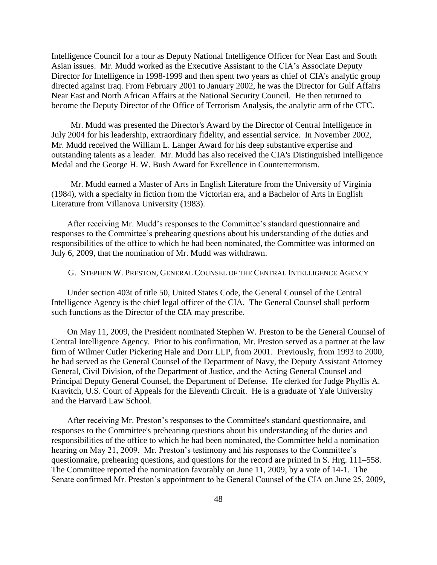Intelligence Council for a tour as Deputy National Intelligence Officer for Near East and South Asian issues. Mr. Mudd worked as the Executive Assistant to the CIA's Associate Deputy Director for Intelligence in 1998-1999 and then spent two years as chief of CIA's analytic group directed against Iraq. From February 2001 to January 2002, he was the Director for Gulf Affairs Near East and North African Affairs at the National Security Council. He then returned to become the Deputy Director of the Office of Terrorism Analysis, the analytic arm of the CTC.

 Mr. Mudd was presented the Director's Award by the Director of Central Intelligence in July 2004 for his leadership, extraordinary fidelity, and essential service. In November 2002, Mr. Mudd received the William L. Langer Award for his deep substantive expertise and outstanding talents as a leader. Mr. Mudd has also received the CIA's Distinguished Intelligence Medal and the George H. W. Bush Award for Excellence in Counterterrorism.

 Mr. Mudd earned a Master of Arts in English Literature from the University of Virginia (1984), with a specialty in fiction from the Victorian era, and a Bachelor of Arts in English Literature from Villanova University (1983).

 After receiving Mr. Mudd's responses to the Committee's standard questionnaire and responses to the Committee's prehearing questions about his understanding of the duties and responsibilities of the office to which he had been nominated, the Committee was informed on July 6, 2009, that the nomination of Mr. Mudd was withdrawn.

#### G. STEPHEN W. PRESTON, GENERAL COUNSEL OF THE CENTRAL INTELLIGENCE AGENCY

 Under section 403t of title 50, United States Code, the General Counsel of the Central Intelligence Agency is the chief legal officer of the CIA. The General Counsel shall perform such functions as the Director of the CIA may prescribe.

 On May 11, 2009, the President nominated Stephen W. Preston to be the General Counsel of Central Intelligence Agency. Prior to his confirmation, Mr. Preston served as a partner at the law firm of Wilmer Cutler Pickering Hale and Dorr LLP, from 2001. Previously, from 1993 to 2000, he had served as the General Counsel of the Department of Navy, the Deputy Assistant Attorney General, Civil Division, of the Department of Justice, and the Acting General Counsel and Principal Deputy General Counsel, the Department of Defense. He clerked for Judge Phyllis A. Kravitch, U.S. Court of Appeals for the Eleventh Circuit. He is a graduate of Yale University and the Harvard Law School.

 After receiving Mr. Preston's responses to the Committee's standard questionnaire, and responses to the Committee's prehearing questions about his understanding of the duties and responsibilities of the office to which he had been nominated, the Committee held a nomination hearing on May 21, 2009. Mr. Preston's testimony and his responses to the Committee's questionnaire, prehearing questions, and questions for the record are printed in S. Hrg. 111–558. The Committee reported the nomination favorably on June 11, 2009, by a vote of 14-1. The Senate confirmed Mr. Preston's appointment to be General Counsel of the CIA on June 25, 2009,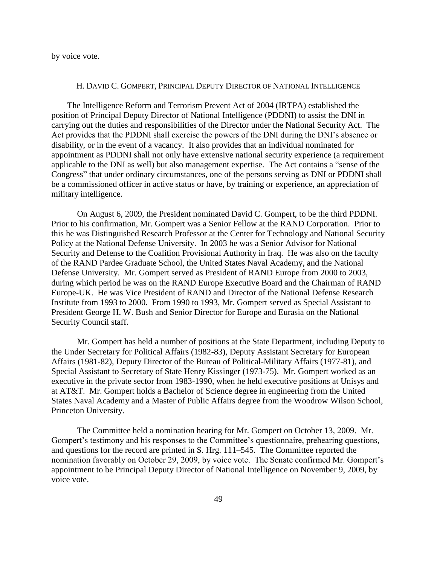by voice vote.

#### H. DAVID C. GOMPERT, PRINCIPAL DEPUTY DIRECTOR OF NATIONAL INTELLIGENCE

 The Intelligence Reform and Terrorism Prevent Act of 2004 (IRTPA) established the position of Principal Deputy Director of National Intelligence (PDDNI) to assist the DNI in carrying out the duties and responsibilities of the Director under the National Security Act. The Act provides that the PDDNI shall exercise the powers of the DNI during the DNI's absence or disability, or in the event of a vacancy. It also provides that an individual nominated for appointment as PDDNI shall not only have extensive national security experience (a requirement applicable to the DNI as well) but also management expertise. The Act contains a "sense of the Congress" that under ordinary circumstances, one of the persons serving as DNI or PDDNI shall be a commissioned officer in active status or have, by training or experience, an appreciation of military intelligence.

On August 6, 2009, the President nominated David C. Gompert, to be the third PDDNI. Prior to his confirmation, Mr. Gompert was a Senior Fellow at the RAND Corporation. Prior to this he was Distinguished Research Professor at the Center for Technology and National Security Policy at the National Defense University. In 2003 he was a Senior Advisor for National Security and Defense to the Coalition Provisional Authority in Iraq. He was also on the faculty of the RAND Pardee Graduate School, the United States Naval Academy, and the National Defense University. Mr. Gompert served as President of RAND Europe from 2000 to 2003, during which period he was on the RAND Europe Executive Board and the Chairman of RAND Europe-UK. He was Vice President of RAND and Director of the National Defense Research Institute from 1993 to 2000. From 1990 to 1993, Mr. Gompert served as Special Assistant to President George H. W. Bush and Senior Director for Europe and Eurasia on the National Security Council staff.

Mr. Gompert has held a number of positions at the State Department, including Deputy to the Under Secretary for Political Affairs (1982-83), Deputy Assistant Secretary for European Affairs (1981-82), Deputy Director of the Bureau of Political-Military Affairs (1977-81), and Special Assistant to Secretary of State Henry Kissinger (1973-75). Mr. Gompert worked as an executive in the private sector from 1983-1990, when he held executive positions at Unisys and at AT&T. Mr. Gompert holds a Bachelor of Science degree in engineering from the United States Naval Academy and a Master of Public Affairs degree from the Woodrow Wilson School, Princeton University.

The Committee held a nomination hearing for Mr. Gompert on October 13, 2009. Mr. Gompert's testimony and his responses to the Committee's questionnaire, prehearing questions, and questions for the record are printed in S. Hrg. 111–545. The Committee reported the nomination favorably on October 29, 2009, by voice vote. The Senate confirmed Mr. Gompert's appointment to be Principal Deputy Director of National Intelligence on November 9, 2009, by voice vote.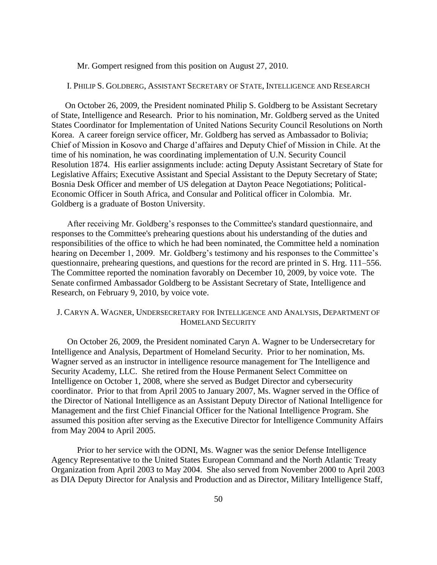Mr. Gompert resigned from this position on August 27, 2010.

## I. PHILIP S. GOLDBERG, ASSISTANT SECRETARY OF STATE, INTELLIGENCE AND RESEARCH

 On October 26, 2009, the President nominated Philip S. Goldberg to be Assistant Secretary of State, Intelligence and Research. Prior to his nomination, Mr. Goldberg served as the United States Coordinator for Implementation of United Nations Security Council Resolutions on North Korea. A career foreign service officer, Mr. Goldberg has served as Ambassador to Bolivia; Chief of Mission in Kosovo and Charge d'affaires and Deputy Chief of Mission in Chile. At the time of his nomination, he was coordinating implementation of U.N. Security Council Resolution 1874. His earlier assignments include: acting Deputy Assistant Secretary of State for Legislative Affairs; Executive Assistant and Special Assistant to the Deputy Secretary of State; Bosnia Desk Officer and member of US delegation at Dayton Peace Negotiations; Political-Economic Officer in South Africa, and Consular and Political officer in Colombia. Mr. Goldberg is a graduate of Boston University.

 After receiving Mr. Goldberg's responses to the Committee's standard questionnaire, and responses to the Committee's prehearing questions about his understanding of the duties and responsibilities of the office to which he had been nominated, the Committee held a nomination hearing on December 1, 2009. Mr. Goldberg's testimony and his responses to the Committee's questionnaire, prehearing questions, and questions for the record are printed in S. Hrg. 111–556. The Committee reported the nomination favorably on December 10, 2009, by voice vote. The Senate confirmed Ambassador Goldberg to be Assistant Secretary of State, Intelligence and Research, on February 9, 2010, by voice vote.

## J. CARYN A. WAGNER, UNDERSECRETARY FOR INTELLIGENCE AND ANALYSIS, DEPARTMENT OF HOMELAND SECURITY

 On October 26, 2009, the President nominated Caryn A. Wagner to be Undersecretary for Intelligence and Analysis, Department of Homeland Security. Prior to her nomination, Ms. Wagner served as an instructor in intelligence resource management for The Intelligence and Security Academy, LLC. She retired from the House Permanent Select Committee on Intelligence on October 1, 2008, where she served as Budget Director and cybersecurity coordinator. Prior to that from April 2005 to January 2007, Ms. Wagner served in the Office of the Director of National Intelligence as an Assistant Deputy Director of National Intelligence for Management and the first Chief Financial Officer for the National Intelligence Program. She assumed this position after serving as the Executive Director for Intelligence Community Affairs from May 2004 to April 2005.

Prior to her service with the ODNI, Ms. Wagner was the senior Defense Intelligence Agency Representative to the United States European Command and the North Atlantic Treaty Organization from April 2003 to May 2004. She also served from November 2000 to April 2003 as DIA Deputy Director for Analysis and Production and as Director, Military Intelligence Staff,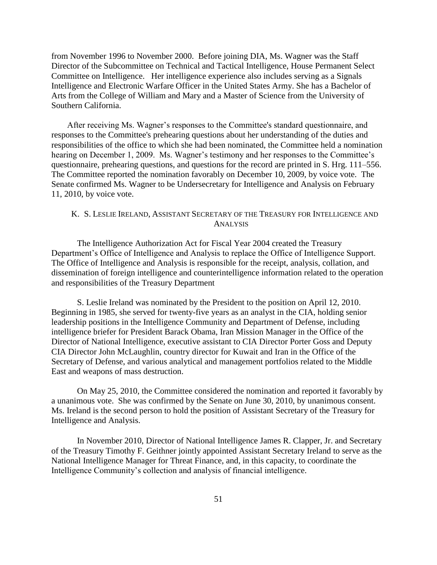from November 1996 to November 2000. Before joining DIA, Ms. Wagner was the Staff Director of the Subcommittee on Technical and Tactical Intelligence, House Permanent Select Committee on Intelligence. Her intelligence experience also includes serving as a Signals Intelligence and Electronic Warfare Officer in the United States Army. She has a Bachelor of Arts from the College of William and Mary and a Master of Science from the University of Southern California.

 After receiving Ms. Wagner's responses to the Committee's standard questionnaire, and responses to the Committee's prehearing questions about her understanding of the duties and responsibilities of the office to which she had been nominated, the Committee held a nomination hearing on December 1, 2009. Ms. Wagner's testimony and her responses to the Committee's questionnaire, prehearing questions, and questions for the record are printed in S. Hrg. 111–556. The Committee reported the nomination favorably on December 10, 2009, by voice vote. The Senate confirmed Ms. Wagner to be Undersecretary for Intelligence and Analysis on February 11, 2010, by voice vote.

# K. S. LESLIE IRELAND, ASSISTANT SECRETARY OF THE TREASURY FOR INTELLIGENCE AND **ANALYSIS**

The Intelligence Authorization Act for Fiscal Year 2004 created the Treasury Department's Office of Intelligence and Analysis to replace the Office of Intelligence Support. The Office of Intelligence and Analysis is responsible for the receipt, analysis, collation, and dissemination of foreign intelligence and counterintelligence information related to the operation and responsibilities of the Treasury Department

S. Leslie Ireland was nominated by the President to the position on April 12, 2010. Beginning in 1985, she served for twenty-five years as an analyst in the CIA, holding senior leadership positions in the Intelligence Community and Department of Defense, including intelligence briefer for President Barack Obama, Iran Mission Manager in the Office of the Director of National Intelligence, executive assistant to CIA Director Porter Goss and Deputy CIA Director John McLaughlin, country director for Kuwait and Iran in the Office of the Secretary of Defense, and various analytical and management portfolios related to the Middle East and weapons of mass destruction.

On May 25, 2010, the Committee considered the nomination and reported it favorably by a unanimous vote. She was confirmed by the Senate on June 30, 2010, by unanimous consent. Ms. Ireland is the second person to hold the position of Assistant Secretary of the Treasury for Intelligence and Analysis.

In November 2010, Director of National Intelligence James R. Clapper, Jr. and Secretary of the Treasury Timothy F. Geithner jointly appointed Assistant Secretary Ireland to serve as the National Intelligence Manager for Threat Finance, and, in this capacity, to coordinate the Intelligence Community's collection and analysis of financial intelligence.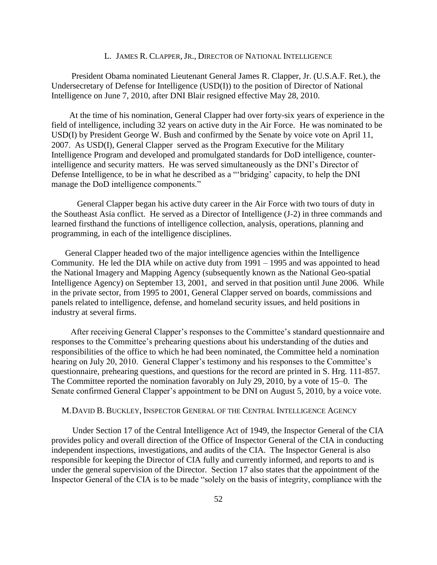#### L. JAMES R. CLAPPER, JR., DIRECTOR OF NATIONAL INTELLIGENCE

 President Obama nominated Lieutenant General James R. Clapper, Jr. (U.S.A.F. Ret.), the Undersecretary of Defense for Intelligence (USD(I)) to the position of Director of National Intelligence on June 7, 2010, after DNI Blair resigned effective May 28, 2010.

 At the time of his nomination, General Clapper had over forty-six years of experience in the field of intelligence, including 32 years on active duty in the Air Force. He was nominated to be USD(I) by President George W. Bush and confirmed by the Senate by voice vote on April 11, 2007. As USD(I), General Clapper served as the Program Executive for the Military Intelligence Program and developed and promulgated standards for DoD intelligence, counterintelligence and security matters. He was served simultaneously as the DNI's Director of Defense Intelligence, to be in what he described as a "'bridging' capacity, to help the DNI manage the DoD intelligence components."

General Clapper began his active duty career in the Air Force with two tours of duty in the Southeast Asia conflict. He served as a Director of Intelligence (J-2) in three commands and learned firsthand the functions of intelligence collection, analysis, operations, planning and programming, in each of the intelligence disciplines.

 General Clapper headed two of the major intelligence agencies within the Intelligence Community. He led the DIA while on active duty from 1991 – 1995 and was appointed to head the National Imagery and Mapping Agency (subsequently known as the National Geo-spatial Intelligence Agency) on September 13, 2001, and served in that position until June 2006. While in the private sector, from 1995 to 2001, General Clapper served on boards, commissions and panels related to intelligence, defense, and homeland security issues, and held positions in industry at several firms.

 After receiving General Clapper's responses to the Committee's standard questionnaire and responses to the Committee's prehearing questions about his understanding of the duties and responsibilities of the office to which he had been nominated, the Committee held a nomination hearing on July 20, 2010. General Clapper's testimony and his responses to the Committee's questionnaire, prehearing questions, and questions for the record are printed in S. Hrg. 111-857. The Committee reported the nomination favorably on July 29, 2010, by a vote of 15–0. The Senate confirmed General Clapper's appointment to be DNI on August 5, 2010, by a voice vote.

#### M.DAVID B. BUCKLEY, INSPECTOR GENERAL OF THE CENTRAL INTELLIGENCE AGENCY

 Under Section 17 of the Central Intelligence Act of 1949, the Inspector General of the CIA provides policy and overall direction of the Office of Inspector General of the CIA in conducting independent inspections, investigations, and audits of the CIA. The Inspector General is also responsible for keeping the Director of CIA fully and currently informed, and reports to and is under the general supervision of the Director. Section 17 also states that the appointment of the Inspector General of the CIA is to be made "solely on the basis of integrity, compliance with the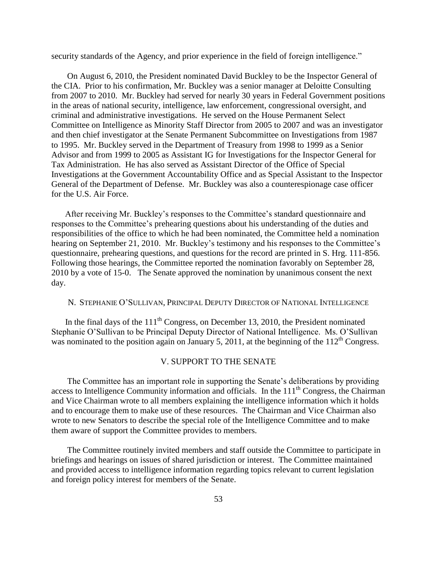security standards of the Agency, and prior experience in the field of foreign intelligence."

 On August 6, 2010, the President nominated David Buckley to be the Inspector General of the CIA. Prior to his confirmation, Mr. Buckley was a senior manager at Deloitte Consulting from 2007 to 2010. Mr. Buckley had served for nearly 30 years in Federal Government positions in the areas of national security, intelligence, law enforcement, congressional oversight, and criminal and administrative investigations. He served on the House Permanent Select Committee on Intelligence as Minority Staff Director from 2005 to 2007 and was an investigator and then chief investigator at the Senate Permanent Subcommittee on Investigations from 1987 to 1995. Mr. Buckley served in the Department of Treasury from 1998 to 1999 as a Senior Advisor and from 1999 to 2005 as Assistant IG for Investigations for the Inspector General for Tax Administration. He has also served as Assistant Director of the Office of Special Investigations at the Government Accountability Office and as Special Assistant to the Inspector General of the Department of Defense. Mr. Buckley was also a counterespionage case officer for the U.S. Air Force.

 After receiving Mr. Buckley's responses to the Committee's standard questionnaire and responses to the Committee's prehearing questions about his understanding of the duties and responsibilities of the office to which he had been nominated, the Committee held a nomination hearing on September 21, 2010. Mr. Buckley's testimony and his responses to the Committee's questionnaire, prehearing questions, and questions for the record are printed in S. Hrg. 111-856. Following those hearings, the Committee reported the nomination favorably on September 28, 2010 by a vote of 15-0. The Senate approved the nomination by unanimous consent the next day.

## N. STEPHANIE O'SULLIVAN, PRINCIPAL DEPUTY DIRECTOR OF NATIONAL INTELLIGENCE

In the final days of the  $111<sup>th</sup>$  Congress, on December 13, 2010, the President nominated Stephanie O'Sullivan to be Principal Deputy Director of National Intelligence. Ms. O'Sullivan was nominated to the position again on January 5, 2011, at the beginning of the  $112<sup>th</sup>$  Congress.

## V. SUPPORT TO THE SENATE

 The Committee has an important role in supporting the Senate's deliberations by providing access to Intelligence Community information and officials. In the  $111<sup>th</sup>$  Congress, the Chairman and Vice Chairman wrote to all members explaining the intelligence information which it holds and to encourage them to make use of these resources. The Chairman and Vice Chairman also wrote to new Senators to describe the special role of the Intelligence Committee and to make them aware of support the Committee provides to members.

 The Committee routinely invited members and staff outside the Committee to participate in briefings and hearings on issues of shared jurisdiction or interest. The Committee maintained and provided access to intelligence information regarding topics relevant to current legislation and foreign policy interest for members of the Senate.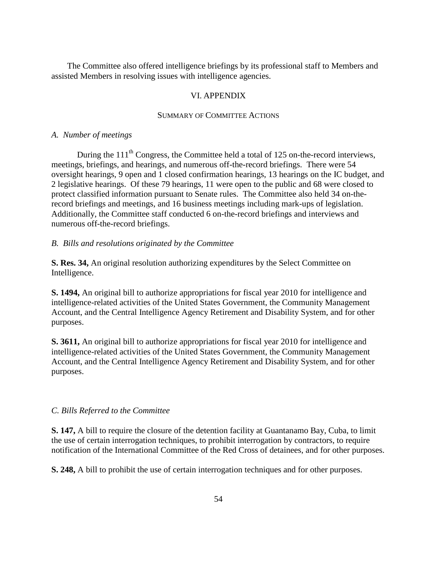The Committee also offered intelligence briefings by its professional staff to Members and assisted Members in resolving issues with intelligence agencies.

# VI. APPENDIX

## SUMMARY OF COMMITTEE ACTIONS

#### *A. Number of meetings*

During the  $111<sup>th</sup>$  Congress, the Committee held a total of 125 on-the-record interviews, meetings, briefings, and hearings, and numerous off-the-record briefings. There were 54 oversight hearings, 9 open and 1 closed confirmation hearings, 13 hearings on the IC budget, and 2 legislative hearings. Of these 79 hearings, 11 were open to the public and 68 were closed to protect classified information pursuant to Senate rules. The Committee also held 34 on-therecord briefings and meetings, and 16 business meetings including mark-ups of legislation. Additionally, the Committee staff conducted 6 on-the-record briefings and interviews and numerous off-the-record briefings.

## *B. Bills and resolutions originated by the Committee*

**S. Res. 34,** An original resolution authorizing expenditures by the Select Committee on Intelligence.

**S. 1494,** An original bill to authorize appropriations for fiscal year 2010 for intelligence and intelligence-related activities of the United States Government, the Community Management Account, and the Central Intelligence Agency Retirement and Disability System, and for other purposes.

**S. 3611,** An original bill to authorize appropriations for fiscal year 2010 for intelligence and intelligence-related activities of the United States Government, the Community Management Account, and the Central Intelligence Agency Retirement and Disability System, and for other purposes.

## *C. Bills Referred to the Committee*

**S. 147,** A bill to require the closure of the detention facility at Guantanamo Bay, Cuba, to limit the use of certain interrogation techniques, to prohibit interrogation by contractors, to require notification of the International Committee of the Red Cross of detainees, and for other purposes.

**S. 248,** A bill to prohibit the use of certain interrogation techniques and for other purposes.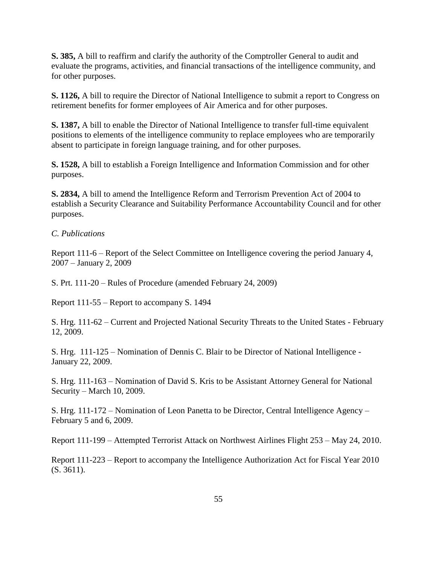**S. 385,** A bill to reaffirm and clarify the authority of the Comptroller General to audit and evaluate the programs, activities, and financial transactions of the intelligence community, and for other purposes.

**S. 1126,** A bill to require the Director of National Intelligence to submit a report to Congress on retirement benefits for former employees of Air America and for other purposes.

**S. 1387,** A bill to enable the Director of National Intelligence to transfer full-time equivalent positions to elements of the intelligence community to replace employees who are temporarily absent to participate in foreign language training, and for other purposes.

**S. 1528,** A bill to establish a Foreign Intelligence and Information Commission and for other purposes.

**S. 2834,** A bill to amend the Intelligence Reform and Terrorism Prevention Act of 2004 to establish a Security Clearance and Suitability Performance Accountability Council and for other purposes.

## *C. Publications*

Report 111-6 – Report of the Select Committee on Intelligence covering the period January 4, 2007 – January 2, 2009

S. Prt. 111-20 – Rules of Procedure (amended February 24, 2009)

Report 111-55 – Report to accompany S. 1494

S. Hrg. 111-62 – Current and Projected National Security Threats to the United States - February 12, 2009.

S. Hrg. 111-125 – Nomination of Dennis C. Blair to be Director of National Intelligence - January 22, 2009.

S. Hrg. 111-163 – Nomination of David S. Kris to be Assistant Attorney General for National Security – March 10, 2009.

S. Hrg. 111-172 – Nomination of Leon Panetta to be Director, Central Intelligence Agency – February 5 and 6, 2009.

Report 111-199 – Attempted Terrorist Attack on Northwest Airlines Flight 253 – May 24, 2010.

Report 111-223 – Report to accompany the Intelligence Authorization Act for Fiscal Year 2010 (S. 3611).